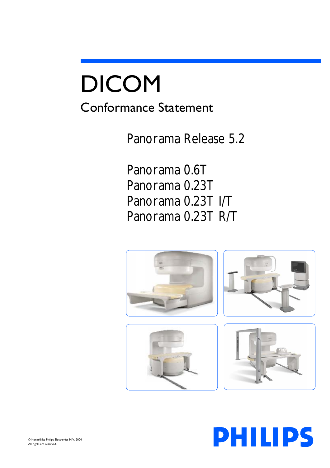# DICOM Conformance Statement

Panorama Release 5.2

Panorama 0.6T Panorama 0.23T Panorama 0.23T I/T Panorama 0.23T R/T



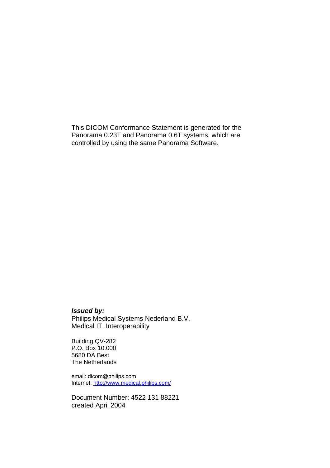This DICOM Conformance Statement is generated for the Panorama 0.23T and Panorama 0.6T systems, which are controlled by using the same Panorama Software.

#### *Issued by:*

Philips Medical Systems Nederland B.V. Medical IT, Interoperability

Building QV-282 P.O. Box 10.000 5680 DA Best The Netherlands

email: dicom@philips.com Internet:<http://www.medical.philips.com/>

Document Number: 4522 131 88221 created April 2004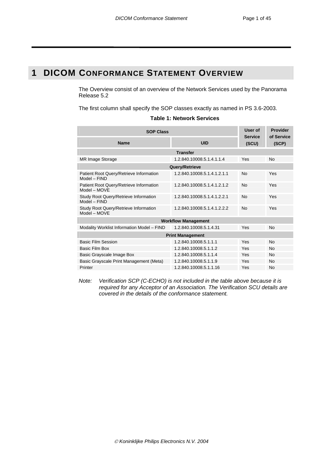# <span id="page-2-0"></span>**1 DICOM CONFORMANCE STATEMENT OVERVIEW**

The Overview consist of an overview of the Network Services used by the Panorama Release 5.2

The first column shall specify the SOP classes exactly as named in PS 3.6-2003.

|  | <b>Table 1: Network Services</b> |  |
|--|----------------------------------|--|
|--|----------------------------------|--|

| <b>SOP Class</b>                                          | User of<br><b>Service</b>   | <b>Provider</b><br>of Service |           |  |  |
|-----------------------------------------------------------|-----------------------------|-------------------------------|-----------|--|--|
| <b>Name</b>                                               | <b>UID</b>                  | (SCU)                         | (SCP)     |  |  |
|                                                           | <b>Transfer</b>             |                               |           |  |  |
| <b>MR Image Storage</b>                                   | 1.2.840.10008.5.1.4.1.1.4   | Yes                           | No        |  |  |
|                                                           | Query/Retrieve              |                               |           |  |  |
| Patient Root Query/Retrieve Information<br>Model - FIND   | 1.2.840.10008.5.1.4.1.2.1.1 | <b>No</b>                     | Yes       |  |  |
| Patient Root Query/Retrieve Information<br>$Model - MOVF$ | 1.2.840.10008.5.1.4.1.2.1.2 | No                            | Yes       |  |  |
| Study Root Query/Retrieve Information<br>$Model - FIND$   | 1.2.840.10008.5.1.4.1.2.2.1 | No                            | Yes       |  |  |
| Study Root Query/Retrieve Information<br>Model - MOVE     | 1.2.840.10008.5.1.4.1.2.2.2 | No                            | Yes       |  |  |
| <b>Workflow Management</b>                                |                             |                               |           |  |  |
| Modality Worklist Information Model - FIND                | 1.2.840.10008.5.1.4.31      | Yes                           | <b>No</b> |  |  |
| <b>Print Management</b>                                   |                             |                               |           |  |  |
| <b>Basic Film Session</b>                                 | 1.2.840.10008.5.1.1.1       | Yes                           | No        |  |  |
| Basic Film Box                                            | 1.2.840.10008.5.1.1.2       | Yes                           | No        |  |  |
| Basic Grayscale Image Box                                 | 1.2.840.10008.5.1.1.4       | Yes                           | <b>No</b> |  |  |
| Basic Grayscale Print Management (Meta)                   | 1.2.840.10008.5.1.1.9       | Yes                           | <b>No</b> |  |  |
| Printer                                                   | 1.2.840.10008.5.1.1.16      | Yes                           | <b>No</b> |  |  |

*Note: Verification SCP (C-ECHO) is not included in the table above because it is required for any Acceptor of an Association. The Verification SCU details are covered in the details of the conformance statement.*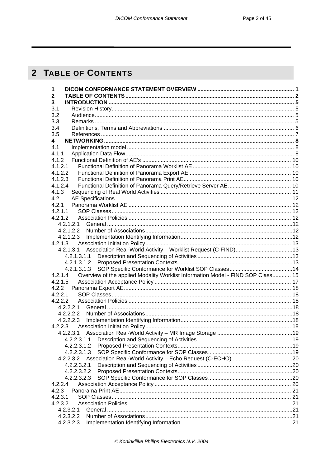# <span id="page-3-0"></span>2 TABLE OF CONTENTS

| 1                                                                                          |  |
|--------------------------------------------------------------------------------------------|--|
| $\mathbf 2$                                                                                |  |
| $\overline{3}$                                                                             |  |
| 3.1                                                                                        |  |
| 3.2                                                                                        |  |
| 3.3                                                                                        |  |
| 3.4                                                                                        |  |
| 3.5                                                                                        |  |
| 4                                                                                          |  |
| 4.1                                                                                        |  |
| 4.1.1                                                                                      |  |
| 4.1.2                                                                                      |  |
| 4.1.2.1                                                                                    |  |
| 4.1.2.2                                                                                    |  |
| 4.1.2.3                                                                                    |  |
| 4.1.2.4                                                                                    |  |
| 4.1.3                                                                                      |  |
| 4.2                                                                                        |  |
| 4.2.1                                                                                      |  |
| 4.2.1.1                                                                                    |  |
| 4.2.1.2                                                                                    |  |
| 4.2.1.2.1                                                                                  |  |
| 4.2.1.2.2                                                                                  |  |
| 4.2.1.2.3                                                                                  |  |
|                                                                                            |  |
|                                                                                            |  |
| 4.2.1.3.1.1                                                                                |  |
| 4.2.1.3.1.2                                                                                |  |
| 4.2.1.3.1.3                                                                                |  |
| Overview of the applied Modality Worklist Information Model - FIND SOP Class 15<br>4.2.1.4 |  |
| 4.2.1.5                                                                                    |  |
|                                                                                            |  |
| 4.2.2.1                                                                                    |  |
| 4.2.2.2                                                                                    |  |
| 4.2.2.2.1                                                                                  |  |
| 4.2.2.2.2                                                                                  |  |
| 4.2.2.2.3                                                                                  |  |
| 4.2.2.3                                                                                    |  |
| 4.2.2.3.1                                                                                  |  |
| 4.2.2.3.1.1                                                                                |  |
| 4.2.2.3.1.2                                                                                |  |
| 4.2.2.3.1.3                                                                                |  |
|                                                                                            |  |
| 4.2.2.3.2.1                                                                                |  |
| 4.2.2.3.2.2                                                                                |  |
| 4.2.2.3.2.3                                                                                |  |
| 4.2.2.4                                                                                    |  |
| 4.2.3                                                                                      |  |
| 4.2.3.1                                                                                    |  |
| 4.2.3.2                                                                                    |  |
| 4.2.3.2.1                                                                                  |  |
| 4.2.3.2.2                                                                                  |  |
| 4.2.3.2.3                                                                                  |  |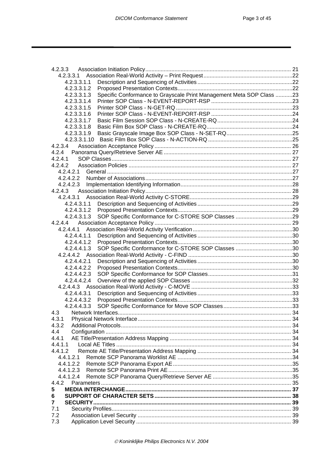| 4.2.3.3                                                                             |  |
|-------------------------------------------------------------------------------------|--|
| 4.2.3.3.1                                                                           |  |
| 4.2.3.3.1.1                                                                         |  |
| 4.2.3.3.1.2                                                                         |  |
| Specific Conformance to Grayscale Print Management Meta SOP Class 23<br>4.2.3.3.1.3 |  |
| 4.2.3.3.1.4                                                                         |  |
| 4.2.3.3.1.5                                                                         |  |
| 4.2.3.3.1.6                                                                         |  |
| 4.2.3.3.1.7                                                                         |  |
| 4.2.3.3.1.8                                                                         |  |
| 4.2.3.3.1.9                                                                         |  |
|                                                                                     |  |
| 4.2.3.4                                                                             |  |
| 4.2.4                                                                               |  |
| 4.2.4.1                                                                             |  |
| 4.2.4.2                                                                             |  |
| 4.2.4.2.1                                                                           |  |
|                                                                                     |  |
|                                                                                     |  |
|                                                                                     |  |
|                                                                                     |  |
| 4.2.4.3.1.1                                                                         |  |
|                                                                                     |  |
| 4.2.4.3.1.3                                                                         |  |
| 4.2.4.4                                                                             |  |
| 4.2.4.4.1                                                                           |  |
| 4.2.4.4.1.1                                                                         |  |
|                                                                                     |  |
| 4.2.4.4.1.2                                                                         |  |
| 4.2.4.4.1.3                                                                         |  |
|                                                                                     |  |
| 4.2.4.4.2.1                                                                         |  |
| 4.2.4.4.2.2                                                                         |  |
| 4.2.4.4.2.3                                                                         |  |
| 4.2.4.4.2.4                                                                         |  |
|                                                                                     |  |
| 4.2.4.4.3.1                                                                         |  |
| 4.2.4.4.3.2                                                                         |  |
| 4.2.4.4.3.3                                                                         |  |
| 4.3                                                                                 |  |
| 4.3.1                                                                               |  |
| 4.3.2                                                                               |  |
| 4.4                                                                                 |  |
| 4.4.1                                                                               |  |
| 4.4.1.1                                                                             |  |
| 4.4.1.2                                                                             |  |
| 4.4.1.2.1                                                                           |  |
| 4.4.1.2.2                                                                           |  |
| 4.4.1.2.3                                                                           |  |
| 4.4.1.2.4                                                                           |  |
| 4.4.2                                                                               |  |
| 5                                                                                   |  |
| 6                                                                                   |  |
| 7                                                                                   |  |
|                                                                                     |  |
| 7.1                                                                                 |  |
| 7.2                                                                                 |  |
| 7.3                                                                                 |  |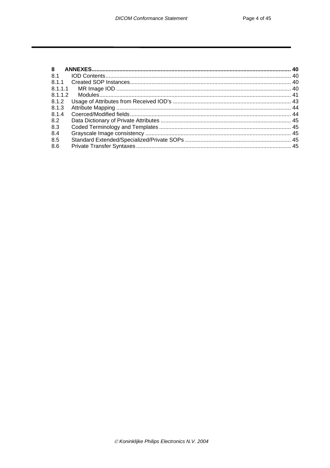| 8.1     |  |
|---------|--|
|         |  |
| 8.1.1.1 |  |
| 8.1.1.2 |  |
|         |  |
| 8.1.3   |  |
| 8.1.4   |  |
| 8.2     |  |
| 8.3     |  |
| 8.4     |  |
| 8.5     |  |
| 8.6     |  |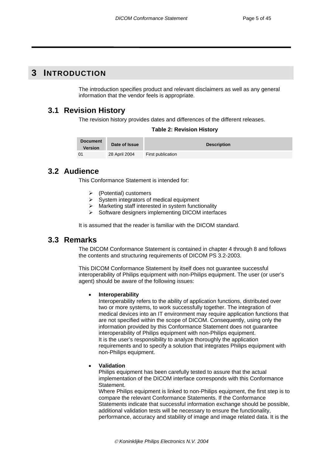# <span id="page-6-0"></span>**3 INTRODUCTION**

The introduction specifies product and relevant disclaimers as well as any general information that the vendor feels is appropriate.

# **3.1 Revision History**

The revision history provides dates and differences of the different releases.

| <b>Table 2: Revision History</b> |
|----------------------------------|
|----------------------------------|

| <b>Document</b><br>Version | Date of Issue | <b>Description</b> |
|----------------------------|---------------|--------------------|
|                            | 28 April 2004 | First publication  |

# **3.2 Audience**

This Conformance Statement is intended for:

- ¾ (Potential) customers
- System integrators of medical equipment
- Marketing staff interested in system functionality
- ¾ Software designers implementing DICOM interfaces

It is assumed that the reader is familiar with the DICOM standard.

# **3.3 Remarks**

The DICOM Conformance Statement is contained in chapter 4 through 8 and follows the contents and structuring requirements of DICOM PS 3.2-2003.

This DICOM Conformance Statement by itself does not guarantee successful interoperability of Philips equipment with non-Philips equipment. The user (or user's agent) should be aware of the following issues:

#### • **Interoperability**

Interoperability refers to the ability of application functions, distributed over two or more systems, to work successfully together. The integration of medical devices into an IT environment may require application functions that are not specified within the scope of DICOM. Consequently, using only the information provided by this Conformance Statement does not guarantee interoperability of Philips equipment with non-Philips equipment. It is the user's responsibility to analyze thoroughly the application requirements and to specify a solution that integrates Philips equipment with non-Philips equipment.

#### • **Validation**

Philips equipment has been carefully tested to assure that the actual implementation of the DICOM interface corresponds with this Conformance Statement.

Where Philips equipment is linked to non-Philips equipment, the first step is to compare the relevant Conformance Statements. If the Conformance Statements indicate that successful information exchange should be possible, additional validation tests will be necessary to ensure the functionality, performance, accuracy and stability of image and image related data. It is the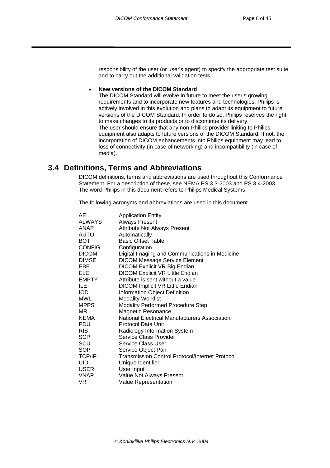<span id="page-7-0"></span>responsibility of the user (or user's agent) to specify the appropriate test suite and to carry out the additional validation tests.

#### • **New versions of the DICOM Standard**

The DICOM Standard will evolve in future to meet the user's growing requirements and to incorporate new features and technologies. Philips is actively involved in this evolution and plans to adapt its equipment to future versions of the DICOM Standard. In order to do so, Philips reserves the right to make changes to its products or to discontinue its delivery. The user should ensure that any non-Philips provider linking to Philips equipment also adapts to future versions of the DICOM Standard. If not, the incorporation of DICOM enhancements into Philips equipment may lead to loss of connectivity (in case of networking) and incompatibility (in case of media).

# **3.4 Definitions, Terms and Abbreviations**

DICOM definitions, terms and abbreviations are used throughout this Conformance Statement. For a description of these, see NEMA PS 3.3-2003 and PS 3.4-2003. The word Philips in this document refers to Philips Medical Systems.

The following acronyms and abbreviations are used in this document.

| AE            | <b>Application Entity</b>                       |
|---------------|-------------------------------------------------|
| <b>ALWAYS</b> | <b>Always Present</b>                           |
| ANAP          | <b>Attribute Not Always Present</b>             |
| <b>AUTO</b>   | Automatically                                   |
| <b>BOT</b>    | <b>Basic Offset Table</b>                       |
| <b>CONFIG</b> | Configuration                                   |
| <b>DICOM</b>  | Digital Imaging and Communications in Medicine  |
| <b>DIMSE</b>  | <b>DICOM Message Service Element</b>            |
| EBE           | DICOM Explicit VR Big Endian                    |
| ELE           | <b>DICOM Explicit VR Little Endian</b>          |
| EMPTY         | Attribute is sent without a value               |
| ILE           | <b>DICOM Implicit VR Little Endian</b>          |
| <b>IOD</b>    | Information Object Definition                   |
| MWL           | <b>Modality Worklist</b>                        |
| <b>MPPS</b>   | <b>Modality Performed Procedure Step</b>        |
| MR            | <b>Magnetic Resonance</b>                       |
| <b>NEMA</b>   | National Electrical Manufacturers Association   |
| PDU           | Protocol Data Unit                              |
| <b>RIS</b>    | <b>Radiology Information System</b>             |
| <b>SCP</b>    | Service Class Provider                          |
| SCU           | Service Class User                              |
| <b>SOP</b>    | Service Object Pair                             |
| TCP/IP        | Transmission Control Protocol/Internet Protocol |
| UID           | Unique Identifier                               |
| <b>USER</b>   | User Input                                      |
| <b>VNAP</b>   | Value Not Always Present                        |
| VR.           | <b>Value Representation</b>                     |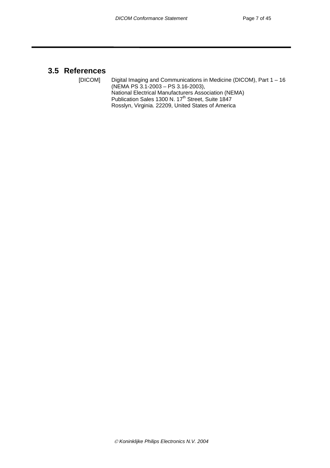# <span id="page-8-0"></span>**3.5 References**

[DICOM] Digital Imaging and Communications in Medicine (DICOM), Part 1 – 16 (NEMA PS 3.1-2003 – PS 3.16-2003), National Electrical Manufacturers Association (NEMA) Publication Sales 1300 N. 17<sup>th</sup> Street, Suite 1847 Rosslyn, Virginia. 22209, United States of America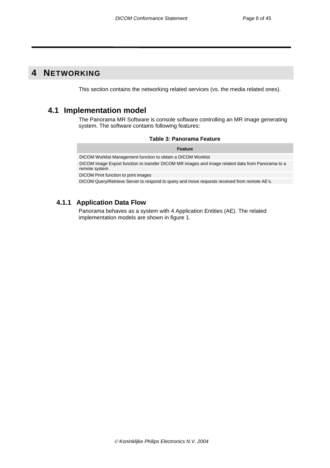# <span id="page-9-0"></span>**4 NETWORKING**

This section contains the networking related services (vs. the media related ones).

# **4.1 Implementation model**

The Panorama MR Software is console software controlling an MR image generating system. The software contains following features:

|  |  | Table 3: Panorama Feature |  |
|--|--|---------------------------|--|
|--|--|---------------------------|--|

| <b>Feature</b>                                                                                                     |
|--------------------------------------------------------------------------------------------------------------------|
| DICOM Worklist Management function to obtain a DICOM Worklist                                                      |
| DICOM Image Export function to transfer DICOM MR images and image related data from Panorama to a<br>remote system |
| DICOM Print function to print images                                                                               |

DICOM Query/Retrieve Server to respond to query and move requests received from remote AE's.

# **4.1.1 Application Data Flow**

Panorama behaves as a system with 4 Application Entities (AE). The related implementation models are shown in figure 1.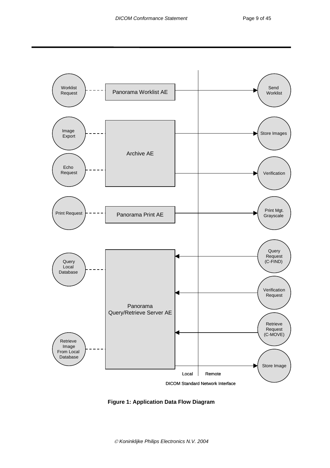

**Figure 1: Application Data Flow Diagram**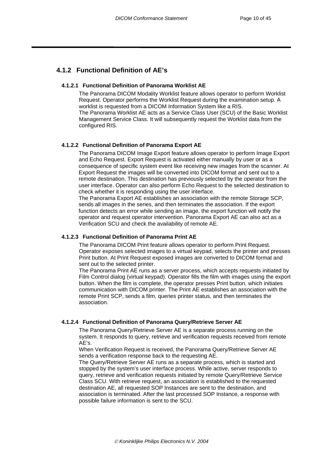# <span id="page-11-0"></span>**4.1.2 Functional Definition of AE's**

#### **4.1.2.1 Functional Definition of Panorama Worklist AE**

The Panorama DICOM Modality Worklist feature allows operator to perform Worklist Request. Operator performs the Worklist Request during the examination setup. A worklist is requested from a DICOM Information System like a RIS. The Panorama Worklist AE acts as a Service Class User (SCU) of the Basic Worklist Management Service Class. It will subsequently request the Worklist data from the configured RIS.

#### **4.1.2.2 Functional Definition of Panorama Export AE**

The Panorama DICOM Image Export feature allows operator to perform Image Export and Echo Request. Export Request is activated either manually by user or as a consequence of specific system event like receiving new images from the scanner. At Export Request the images will be converted into DICOM format and sent out to a remote destination. This destination has previously selected by the operator from the user interface. Operator can also perform Echo Request to the selected destination to check whether it is responding using the user interface.

The Panorama Export AE establishes an association with the remote Storage SCP, sends all images in the series, and then terminates the association. If the export function detects an error while sending an image, the export function will notify the operator and request operator intervention. Panorama Export AE can also act as a Verification SCU and check the availability of remote AE.

#### **4.1.2.3 Functional Definition of Panorama Print AE**

The Panorama DICOM Print feature allows operator to perform Print Request. Operator exposes selected images to a virtual keypad, selects the printer and presses Print button. At Print Request exposed images are converted to DICOM format and sent out to the selected printer.

The Panorama Print AE runs as a server process, which accepts requests initiated by Film Control dialog (virtual keypad). Operator fills the film with images using the export button. When the film is complete, the operator presses Print button, which initiates communication with DICOM printer. The Print AE establishes an association with the remote Print SCP, sends a film, queries printer status, and then terminates the association.

#### **4.1.2.4 Functional Definition of Panorama Query/Retrieve Server AE**

The Panorama Query/Retrieve Server AE is a separate process running on the system. It responds to query, retrieve and verification requests received from remote AE's.

When Verification Request is received, the Panorama Query/Retrieve Server AE sends a verification response back to the requesting AE.

The Query/Retrieve Server AE runs as a separate process, which is started and stopped by the system's user interface process. While active, server responds to query, retrieve and verification requests initiated by remote Query/Retrieve Service Class SCU. With retrieve request, an association is established to the requested destination AE, all requested SOP Instances are sent to the destination, and association is terminated. After the last processed SOP Instance, a response with possible failure information is sent to the SCU.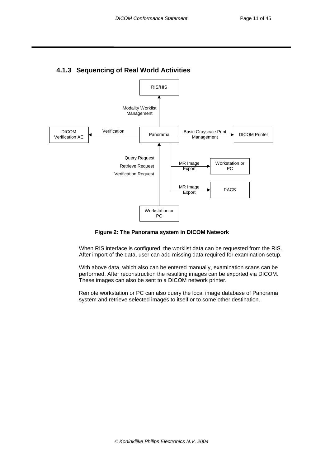<span id="page-12-0"></span>

# **4.1.3 Sequencing of Real World Activities**

#### **Figure 2: The Panorama system in DICOM Network**

When RIS interface is configured, the worklist data can be requested from the RIS. After import of the data, user can add missing data required for examination setup.

With above data, which also can be entered manually, examination scans can be performed. After reconstruction the resulting images can be exported via DICOM. These images can also be sent to a DICOM network printer.

Remote workstation or PC can also query the local image database of Panorama system and retrieve selected images to itself or to some other destination.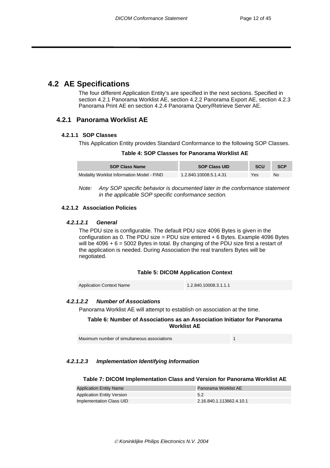# <span id="page-13-0"></span>**4.2 AE Specifications**

The four different Application Entity's are specified in the next sections. Specified in section 4.2.1 Panorama Worklist AE, section 4.2.2 Panorama Export AE, section 4.2.3 Panorama Print AE en section 4.2.4 Panorama Query/Retrieve Server AE.

### **4.2.1 Panorama Worklist AE**

#### **4.2.1.1 SOP Classes**

This Application Entity provides Standard Conformance to the following SOP Classes.

| Table 4: SOP Classes for Panorama Worklist AE |  |  |  |
|-----------------------------------------------|--|--|--|
|-----------------------------------------------|--|--|--|

| <b>SOP Class Name</b>                      | <b>SOP Class UID</b>   | <b>SCU</b> | <b>SCP</b> |
|--------------------------------------------|------------------------|------------|------------|
| Modality Worklist Information Model - FIND | 1.2.840.10008.5.1.4.31 | Yes        | No         |

*Note: Any SOP specific behavior is documented later in the conformance statement in the applicable SOP specific conformance section.* 

#### **4.2.1.2 Association Policies**

#### *4.2.1.2.1 General*

The PDU size is configurable. The default PDU size 4096 Bytes is given in the configuration as 0. The PDU size = PDU size entered  $+ 6$  Bytes. Example 4096 Bytes will be  $4096 + 6 = 5002$  Bytes in total. By changing of the PDU size first a restart of the application is needed. During Association the real transfers Bytes will be negotiated.

#### **Table 5: DICOM Application Context**

Application Context Name 1.2.840.10008.3.1.1.1

#### *4.2.1.2.2 Number of Associations*

Panorama Worklist AE will attempt to establish on association at the time.

**Table 6: Number of Associations as an Association Initiator for Panorama Worklist AE** 

| Maximum number of simultaneous associations |  |
|---------------------------------------------|--|
|---------------------------------------------|--|

#### *4.2.1.2.3 Implementation Identifying Information*

#### **Table 7: DICOM Implementation Class and Version for Panorama Worklist AE**

| <b>Application Entity Name</b>    | <b>Panorama Worklist AE</b> |
|-----------------------------------|-----------------------------|
| <b>Application Entity Version</b> | 5.2                         |
| Implementation Class UID          | 2.16.840.1.113662.4.10.1    |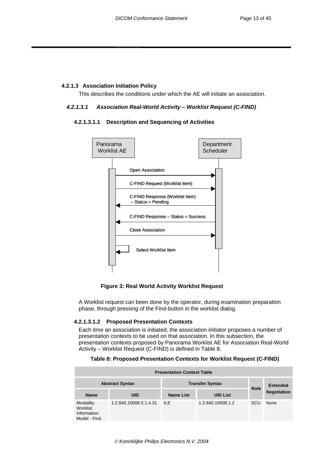#### <span id="page-14-0"></span>**4.2.1.3 Association Initiation Policy**

This describes the conditions under which the AE will initiate an association.

#### *4.2.1.3.1 Association Real-World Activity – Worklist Request (C-FIND)*

#### **4.2.1.3.1.1 Description and Sequencing of Activities**



 **Figure 3: Real World Activity Worklist Request** 

A Worklist request can been done by the operator, during examination preparation phase, through pressing of the Find-button in the worklist dialog.

#### **4.2.1.3.1.2 Proposed Presentation Contexts**

Each time an association is initiated, the association initiator proposes a number of presentation contexts to be used on that association. In this subsection, the presentation contexts proposed by Panorama Worklist AE for Association Real-World Activity – Worklist Request (C-FIND) is defined in [Table 8.](#page-14-1)

#### <span id="page-14-1"></span>**Table 8: Proposed Presentation Contexts for Worklist Request (C-FIND)**

| <b>Presentation Context Table</b>                    |                        |           |                        |             |                    |  |  |  |  |
|------------------------------------------------------|------------------------|-----------|------------------------|-------------|--------------------|--|--|--|--|
|                                                      | <b>Abstract Syntax</b> |           | <b>Transfer Syntax</b> | <b>Role</b> | <b>Extended</b>    |  |  |  |  |
| <b>Name</b>                                          | <b>UID</b>             | Name List | <b>UID List</b>        |             | <b>Negotiation</b> |  |  |  |  |
| Modatilty<br>Worklist<br>Information<br>Model - Find | 1.2.840.10008.5.1.4.31 | $I\!I$ F  | 1.2.840.10008.1.2      | <b>SCU</b>  | None               |  |  |  |  |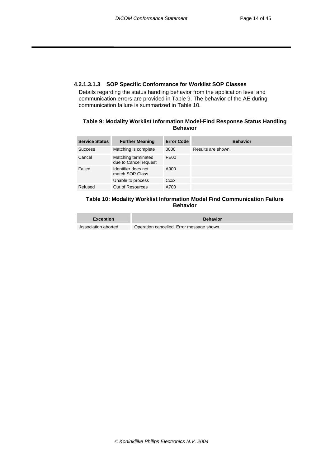#### <span id="page-15-0"></span>**4.2.1.3.1.3 SOP Specific Conformance for Worklist SOP Classes**

Details regarding the status handling behavior from the application level and communication errors are provided in [Table 9.](#page-15-1) The behavior of the AE during communication failure is summarized in [Table 10.](#page-15-2)

#### <span id="page-15-1"></span>**Table 9: Modality Worklist Information Model-Find Response Status Handling Behavior**

| <b>Service Status</b> | <b>Further Meaning</b>                       | <b>Error Code</b> | <b>Behavior</b>    |
|-----------------------|----------------------------------------------|-------------------|--------------------|
| <b>Success</b>        | Matching is complete                         | 0000              | Results are shown. |
| Cancel                | Matching terminated<br>due to Cancel request | FE <sub>00</sub>  |                    |
| Failed                | Identifier does not<br>match SOP Class       | A900              |                    |
|                       | Unable to process                            | Cxxx              |                    |
| Refused               | Out of Resources                             | A700              |                    |

#### <span id="page-15-2"></span>**Table 10: Modality Worklist Information Model Find Communication Failure Behavior**

| <b>Exception</b>    | <b>Behavior</b>                           |
|---------------------|-------------------------------------------|
| Association aborted | Operation cancelled. Error message shown. |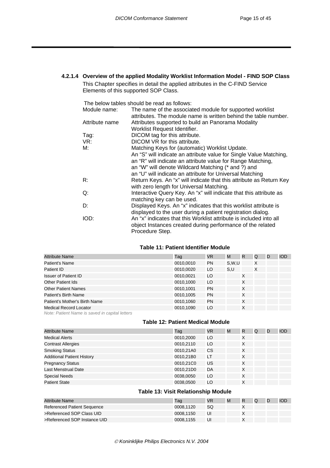#### <span id="page-16-0"></span>**4.2.1.4 Overview of the applied Modality Worklist Information Model - FIND SOP Class**  This Chapter specifies in detail the applied attributes in the C-FIND Service

Elements of this supported SOP Class.

The below tables should be read as follows:

| Module name:   | The name of the associated module for supported worklist            |
|----------------|---------------------------------------------------------------------|
|                | attributes. The module name is written behind the table number.     |
| Attribute name | Attributes supported to build an Panorama Modality                  |
|                | Worklist Request Identifier.                                        |
| Tag:           | DICOM tag for this attribute.                                       |
| VR:            | DICOM VR for this attribute.                                        |
| М:             | Matching Keys for (automatic) Worklist Update.                      |
|                | An "S" will indicate an attribute value for Single Value Matching,  |
|                | an "R" will indicate an attribute value for Range Matching,         |
|                | an "W" will denote Wildcard Matching (* and ?) and                  |
|                | an "U" will indicate an attribute for Universal Matching            |
| R:             | Return Keys. An "x" will indicate that this attribute as Return Key |
|                | with zero length for Universal Matching.                            |
| Q:             | Interactive Query Key. An "x" will indicate that this attribute as  |
|                | matching key can be used.                                           |
| D:             | Displayed Keys. An "x" indicates that this worklist attribute is    |
|                | displayed to the user during a patient registration dialog.         |
| IOD:           | An "x" indicates that this Worklist attribute is included into all  |
|                | object Instances created during performance of the related          |
|                | Procedure Step.                                                     |

#### **Table 11: Patient Identifier Module**

| <b>Attribute Name</b>                          | Taq       | VR.       | М     | R | Q | D | <b>IOD</b> |
|------------------------------------------------|-----------|-----------|-------|---|---|---|------------|
| Patient's Name                                 | 0010,0010 | <b>PN</b> | S.W.U |   | X |   |            |
| Patient ID                                     | 0010,0020 | LO        | S,U   |   | X |   |            |
| <b>Issuer of Patient ID</b>                    | 0010,0021 | LO        |       | X |   |   |            |
| <b>Other Patient Ids</b>                       | 0010,1000 | LO        |       | X |   |   |            |
| <b>Other Patient Names</b>                     | 0010,1001 | <b>PN</b> |       | X |   |   |            |
| Patient's Birth Name                           | 0010,1005 | <b>PN</b> |       | X |   |   |            |
| Patient's Mother's Birth Name                  | 0010,1060 | <b>PN</b> |       | X |   |   |            |
| <b>Medical Record Locator</b>                  | 0010,1090 | LO        |       | X |   |   |            |
| Note: Patient Name is saved in capital letters |           |           |       |   |   |   |            |

#### **Table 12: Patient Medical Module**

| <b>Attribute Name</b>             | Tag       | VR. | M | R | Q | D | <b>IOD</b> |
|-----------------------------------|-----------|-----|---|---|---|---|------------|
| <b>Medical Alerts</b>             | 0010,2000 | LO  |   | X |   |   |            |
| <b>Contrast Allergies</b>         | 0010,2110 | LO  |   | X |   |   |            |
| <b>Smoking Status</b>             | 0010,21A0 | CS  |   | X |   |   |            |
| <b>Additional Patient History</b> | 0010,21B0 | LT  |   | X |   |   |            |
| <b>Pregnancy Status</b>           | 0010,21C0 | US  |   | X |   |   |            |
| Last Menstrual Date               | 0010,21D0 | DA  |   | X |   |   |            |
| <b>Special Needs</b>              | 0038,0050 | LO  |   | X |   |   |            |
| <b>Patient State</b>              | 0038,0500 | LO  |   | X |   |   |            |

#### **Table 13: Visit Relationship Module**

| Attribute Name                     | Taɑ       | <b>VR</b> | M | R | Q | IOD |
|------------------------------------|-----------|-----------|---|---|---|-----|
| <b>Referenced Patient Sequence</b> | 0008.1120 | SQ        |   |   |   |     |
| >Referenced SOP Class UID          | 0008.1150 | UI        |   |   |   |     |
| >Referenced SOP Instance UID       | 0008.1155 | UI        |   |   |   |     |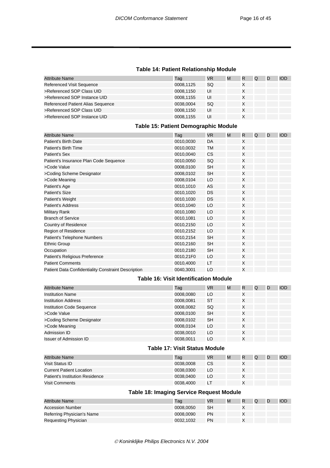#### **Table 14: Patient Relationship Module**

| <b>Attribute Name</b>             | Tag       | VR | M | R | Q | D | IOD |
|-----------------------------------|-----------|----|---|---|---|---|-----|
| <b>Referenced Visit Sequence</b>  | 0008.1125 | SQ |   |   |   |   |     |
| >Referenced SOP Class UID         | 0008.1150 | UI |   | X |   |   |     |
| >Referenced SOP Instance UID      | 0008.1155 | UI |   | Χ |   |   |     |
| Referenced Patient Alias Sequence | 0038,0004 | SQ |   | Χ |   |   |     |
| >Referenced SOP Class UID         | 0008.1150 | UI |   | Χ |   |   |     |
| >Referenced SOP Instance UID      | 0008.1155 | UI |   | X |   |   |     |

#### **Table 15: Patient Demographic Module**

| <b>Attribute Name</b>                               | Tag       | VR.       | M | R | Q | D | IOD |
|-----------------------------------------------------|-----------|-----------|---|---|---|---|-----|
| Patient's Birth Date                                | 0010,0030 | DA        |   | X |   |   |     |
| <b>Patient's Birth Time</b>                         | 0010,0032 | TM        |   | X |   |   |     |
| Patient's Sex                                       | 0010,0040 | CS        |   | X |   |   |     |
| Patient's Insurance Plan Code Sequence              | 0010,0050 | SQ        |   | X |   |   |     |
| >Code Value                                         | 0008,0100 | <b>SH</b> |   | X |   |   |     |
| >Coding Scheme Designator                           | 0008,0102 | <b>SH</b> |   | X |   |   |     |
| >Code Meaning                                       | 0008,0104 | LO        |   | X |   |   |     |
| Patient's Age                                       | 0010,1010 | AS        |   | X |   |   |     |
| Patient's Size                                      | 0010,1020 | <b>DS</b> |   | X |   |   |     |
| Patient's Weight                                    | 0010,1030 | DS        |   | X |   |   |     |
| <b>Patient's Address</b>                            | 0010,1040 | LO        |   | X |   |   |     |
| <b>Military Rank</b>                                | 0010,1080 | LO        |   | X |   |   |     |
| <b>Branch of Service</b>                            | 0010,1081 | LO        |   | X |   |   |     |
| Country of Residence                                | 0010,2150 | LO        |   | X |   |   |     |
| Region of Residence                                 | 0010,2152 | LO        |   | X |   |   |     |
| Patient's Telephone Numbers                         | 0010,2154 | <b>SH</b> |   | X |   |   |     |
| <b>Ethnic Group</b>                                 | 0010,2160 | <b>SH</b> |   | X |   |   |     |
| Occupation                                          | 0010,2180 | <b>SH</b> |   | X |   |   |     |
| Patient's Religious Preference                      | 0010,21F0 | LO        |   | X |   |   |     |
| <b>Patient Comments</b>                             | 0010,4000 | LT        |   | X |   |   |     |
| Patient Data Confidentiality Constraint Description | 0040,3001 | LO        |   | X |   |   |     |

#### **Table 16: Visit Identification Module**

| <b>Attribute Name</b>            | Taq       | VR.       | M | R | Q | D | <b>IOD</b> |
|----------------------------------|-----------|-----------|---|---|---|---|------------|
| <b>Institution Name</b>          | 0008,0080 | LO        |   | X |   |   |            |
| <b>Institution Address</b>       | 0008,0081 | ST        |   | X |   |   |            |
| <b>Institution Code Sequence</b> | 0008,0082 | SQ        |   | X |   |   |            |
| >Code Value                      | 0008,0100 | <b>SH</b> |   | X |   |   |            |
| >Coding Scheme Designator        | 0008,0102 | <b>SH</b> |   | X |   |   |            |
| >Code Meaning                    | 0008,0104 | LO        |   | X |   |   |            |
| Admission ID                     | 0038,0010 | LO        |   | X |   |   |            |
| <b>Issuer of Admission ID</b>    | 0038.0011 | LO        |   | Χ |   |   |            |

#### **Table 17: Visit Status Module**

| Attribute Name                         | Tag       | VR | M | R | Q | <b>IOD</b> |
|----------------------------------------|-----------|----|---|---|---|------------|
| Visit Status ID                        | 0038,0008 | СS |   |   |   |            |
| <b>Current Patient Location</b>        | 0038.0300 | LO |   |   |   |            |
| <b>Patient's Institution Residence</b> | 0038.0400 | LO |   |   |   |            |
| <b>Visit Comments</b>                  | 0038.4000 | LT |   |   |   |            |

#### **Table 18: Imaging Service Request Module**

| <b>Attribute Name</b>      | Taq       | VR | M | R | Q | <b>IOD</b> |
|----------------------------|-----------|----|---|---|---|------------|
| Accession Number           | 0008.0050 | SН |   |   |   |            |
| Referring Physician's Name | 0008.0090 | PN |   |   |   |            |
| Requesting Physician       | 0032.1032 | PN |   |   |   |            |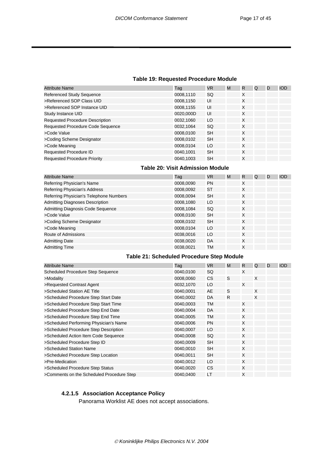#### **Table 19: Requested Procedure Module**

<span id="page-18-0"></span>

| <b>Attribute Name</b>                  | Tag       | VR.       | M | R | Q | D | <b>IOD</b> |
|----------------------------------------|-----------|-----------|---|---|---|---|------------|
| Referenced Study Sequence              | 0008,1110 | <b>SQ</b> |   | X |   |   |            |
| >Referenced SOP Class UID              | 0008,1150 | UI        |   | X |   |   |            |
| >Referenced SOP Instance UID           | 0008,1155 | UI        |   | X |   |   |            |
| Study Instance UID                     | 0020,000D | UI        |   | X |   |   |            |
| <b>Requested Procedure Description</b> | 0032.1060 | LO        |   | X |   |   |            |
| Requested Procedure Code Sequence      | 0032,1064 | <b>SQ</b> |   | X |   |   |            |
| >Code Value                            | 0008.0100 | <b>SH</b> |   | X |   |   |            |
| >Coding Scheme Designator              | 0008,0102 | <b>SH</b> |   | X |   |   |            |
| >Code Meaning                          | 0008,0104 | LO        |   | X |   |   |            |
| <b>Requested Procedure ID</b>          | 0040,1001 | <b>SH</b> |   | X |   |   |            |
| <b>Requested Procedure Priority</b>    | 0040,1003 | <b>SH</b> |   | X |   |   |            |

#### **Table 20: Visit Admission Module**

| <b>Attribute Name</b>                   | Tag       | <b>VR</b> | M | R | Q | D | <b>IOD</b> |
|-----------------------------------------|-----------|-----------|---|---|---|---|------------|
| Referring Physician's Name              | 0008,0090 | <b>PN</b> |   | X |   |   |            |
| Referring Physician's Address           | 0008,0092 | <b>ST</b> |   | X |   |   |            |
| Referring Physician's Telephone Numbers | 0008,0094 | <b>SH</b> |   | X |   |   |            |
| <b>Admitting Diagnoses Description</b>  | 0008.1080 | LO        |   | X |   |   |            |
| Admitting Diagnosis Code Sequence       | 0008,1084 | SQ        |   | X |   |   |            |
| >Code Value                             | 0008,0100 | <b>SH</b> |   | X |   |   |            |
| >Coding Scheme Designator               | 0008.0102 | <b>SH</b> |   | X |   |   |            |
| >Code Meaning                           | 0008,0104 | LO        |   | X |   |   |            |
| Route of Admissions                     | 0038,0016 | LO        |   | X |   |   |            |
| <b>Admitting Date</b>                   | 0038.0020 | DA        |   | X |   |   |            |
| <b>Admitting Time</b>                   | 0038.0021 | <b>TM</b> |   | Χ |   |   |            |

#### **Table 21: Scheduled Procedure Step Module**

| <b>Attribute Name</b>                     | Tag       | <b>VR</b> | M  | R. | Q | D | <b>IOD</b> |
|-------------------------------------------|-----------|-----------|----|----|---|---|------------|
| <b>Scheduled Procedure Step Sequence</b>  | 0040,0100 | SQ        |    | X  |   |   |            |
| >Modality                                 | 0008,0060 | СS        | S  |    | X |   |            |
| >Requested Contrast Agent                 | 0032,1070 | LO        |    | X  |   |   |            |
| >Scheduled Station AE Title               | 0040,0001 | AE        | S  |    | X |   |            |
| >Scheduled Procedure Step Start Date      | 0040,0002 | DA        | R. |    | X |   |            |
| >Scheduled Procedure Step Start Time      | 0040,0003 | TM        |    | X  |   |   |            |
| >Scheduled Procedure Step End Date        | 0040,0004 | DA        |    | X  |   |   |            |
| >Scheduled Procedure Step End Time        | 0040,0005 | TM        |    | X  |   |   |            |
| >Scheduled Performing Physician's Name    | 0040,0006 | <b>PN</b> |    | X  |   |   |            |
| >Scheduled Procedure Step Description     | 0040,0007 | LO        |    | X  |   |   |            |
| >Scheduled Action Item Code Sequence      | 0040,0008 | SQ        |    | X  |   |   |            |
| >Scheduled Procedure Step ID              | 0040,0009 | <b>SH</b> |    | X  |   |   |            |
| >Scheduled Station Name                   | 0040,0010 | <b>SH</b> |    | X  |   |   |            |
| >Scheduled Procedure Step Location        | 0040,0011 | <b>SH</b> |    | X  |   |   |            |
| >Pre-Medication                           | 0040,0012 | LO        |    | X  |   |   |            |
| >Scheduled Procedure Step Status          | 0040,0020 | <b>CS</b> |    | X  |   |   |            |
| >Comments on the Scheduled Procedure Step | 0040,0400 | LT        |    | X  |   |   |            |

#### **4.2.1.5 Association Acceptance Policy**

Panorama Worklist AE does not accept associations.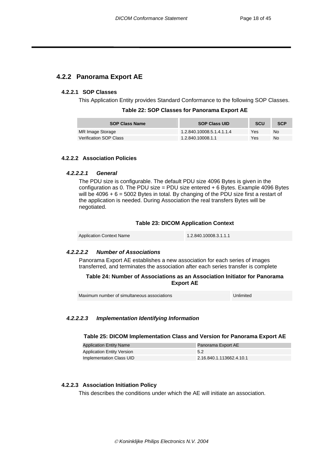### <span id="page-19-0"></span>**4.2.2 Panorama Export AE**

#### **4.2.2.1 SOP Classes**

This Application Entity provides Standard Conformance to the following SOP Classes.

|  | Table 22: SOP Classes for Panorama Export AE |
|--|----------------------------------------------|
|--|----------------------------------------------|

| <b>SOP Class Name</b>  | <b>SOP Class UID</b>      | <b>SCU</b> | <b>SCP</b> |
|------------------------|---------------------------|------------|------------|
| MR Image Storage       | 1.2.840.10008.5.1.4.1.1.4 | Yes        | No         |
| Verification SOP Class | 1.2.840.10008.1.1         | Yes        | No         |

#### **4.2.2.2 Association Policies**

#### *4.2.2.2.1 General*

The PDU size is configurable. The default PDU size 4096 Bytes is given in the configuration as 0. The PDU size = PDU size entered  $+ 6$  Bytes. Example 4096 Bytes will be  $4096 + 6 = 5002$  Bytes in total. By changing of the PDU size first a restart of the application is needed. During Association the real transfers Bytes will be negotiated.

#### **Table 23: DICOM Application Context**

| <b>Application Context Name</b> | 1.2.840.10008.3.1.1.1 |
|---------------------------------|-----------------------|
|---------------------------------|-----------------------|

#### *4.2.2.2.2 Number of Associations*

Panorama Export AE establishes a new association for each series of images transferred, and terminates the association after each series transfer is complete

#### **Table 24: Number of Associations as an Association Initiator for Panorama Export AE**

Maximum number of simultaneous associations **Unlimited** 

#### *4.2.2.2.3 Implementation Identifying Information*

#### **Table 25: DICOM Implementation Class and Version for Panorama Export AE**

| <b>Application Entity Name</b>    | Panorama Export AE       |
|-----------------------------------|--------------------------|
| <b>Application Entity Version</b> |                          |
| Implementation Class UID          | 2.16.840.1.113662.4.10.1 |

#### **4.2.2.3 Association Initiation Policy**

This describes the conditions under which the AE will initiate an association.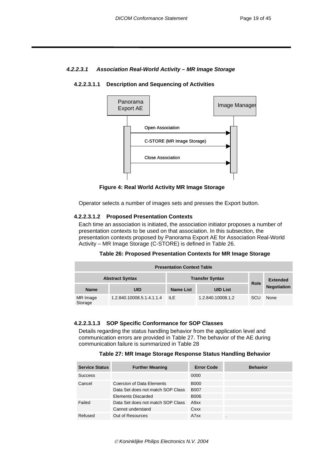#### <span id="page-20-0"></span>*4.2.2.3.1 Association Real-World Activity – MR Image Storage*

#### **4.2.2.3.1.1 Description and Sequencing of Activities**



 **Figure 4: Real World Activity MR Image Storage** 

Operator selects a number of images sets and presses the Export button.

#### **4.2.2.3.1.2 Proposed Presentation Contexts**

Each time an association is initiated, the association initiator proposes a number of presentation contexts to be used on that association. In this subsection, the presentation contexts proposed by Panorama Export AE for Association Real-World Activity – MR Image Storage (C-STORE) is defined in [Table 26.](#page-20-1)

<span id="page-20-1"></span>

| Table 26: Proposed Presentation Contexts for MR Image Storage |  |  |  |  |
|---------------------------------------------------------------|--|--|--|--|
|---------------------------------------------------------------|--|--|--|--|

| <b>Presentation Context Table</b> |                                                  |           |                   |             |                    |  |  |
|-----------------------------------|--------------------------------------------------|-----------|-------------------|-------------|--------------------|--|--|
|                                   | <b>Transfer Syntax</b><br><b>Abstract Syntax</b> |           |                   |             | <b>Extended</b>    |  |  |
| <b>Name</b>                       | UID                                              | Name List | <b>UID List</b>   | <b>Role</b> | <b>Negotiation</b> |  |  |
| MR Image<br>Storage               | 1.2.840.10008.5.1.4.1.1.4                        | -ILE      | 1.2.840.10008.1.2 | SCU         | None               |  |  |

#### **4.2.2.3.1.3 SOP Specific Conformance for SOP Classes**

Details regarding the status handling behavior from the application level and communication errors are provided in [Table 27.](#page-20-2) The behavior of the AE during communication failure is summarized in [Table 28](#page-21-1) 

<span id="page-20-2"></span>

| <b>Service Status</b> | <b>Further Meaning</b>            | <b>Error Code</b> | <b>Behavior</b> |
|-----------------------|-----------------------------------|-------------------|-----------------|
| <b>Success</b>        |                                   | 0000              |                 |
| Cancel                | Coercion of Data Elements         | <b>B000</b>       |                 |
|                       | Data Set does not match SOP Class | <b>B007</b>       |                 |
|                       | Elements Discarded                | B006              |                 |
| Failed                | Data Set does not match SOP Class | A9xx              |                 |
|                       | Cannot understand                 | Cxxx              |                 |
| Refused               | Out of Resources                  | A7xx              | $\blacksquare$  |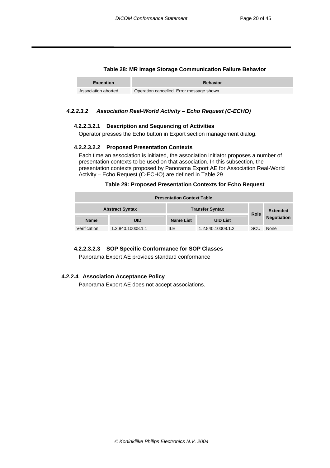#### <span id="page-21-1"></span>**Table 28: MR Image Storage Communication Failure Behavior**

<span id="page-21-0"></span>

| <b>Exception</b>    | <b>Behavior</b>                           |
|---------------------|-------------------------------------------|
| Association aborted | Operation cancelled. Error message shown. |

#### *4.2.2.3.2 Association Real-World Activity – Echo Request (C-ECHO)*

#### **4.2.2.3.2.1 Description and Sequencing of Activities**

Operator presses the Echo button in Export section management dialog.

#### **4.2.2.3.2.2 Proposed Presentation Contexts**

Each time an association is initiated, the association initiator proposes a number of presentation contexts to be used on that association. In this subsection, the presentation contexts proposed by Panorama Export AE for Association Real-World Activity – Echo Request (C-ECHO) are defined in [Table 29](#page-21-2) 

#### <span id="page-21-2"></span>**Table 29: Proposed Presentation Contexts for Echo Request**

| <b>Presentation Context Table</b> |                   |                        |                   |             |                    |
|-----------------------------------|-------------------|------------------------|-------------------|-------------|--------------------|
| <b>Abstract Syntax</b>            |                   | <b>Transfer Syntax</b> |                   | <b>Role</b> | <b>Extended</b>    |
| <b>Name</b>                       | <b>UID</b>        | Name List              | <b>UID List</b>   |             | <b>Negotiation</b> |
| Verification                      | 1.2.840.10008.1.1 | ILE.                   | 1.2.840.10008.1.2 | SCU         | None               |

#### **4.2.2.3.2.3 SOP Specific Conformance for SOP Classes**

Panorama Export AE provides standard conformance

#### **4.2.2.4 Association Acceptance Policy**

Panorama Export AE does not accept associations.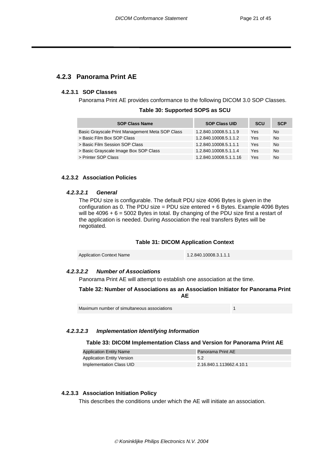#### <span id="page-22-0"></span>**4.2.3 Panorama Print AE**

#### **4.2.3.1 SOP Classes**

Panorama Print AE provides conformance to the following DICOM 3.0 SOP Classes.

| Table 30: Supported SOPS as SCU |  |
|---------------------------------|--|
|---------------------------------|--|

| <b>SOP Class Name</b>                           | <b>SOP Class UID</b>   | <b>SCU</b> | <b>SCP</b> |
|-------------------------------------------------|------------------------|------------|------------|
| Basic Grayscale Print Management Meta SOP Class | 1.2.840.10008.5.1.1.9  | Yes        | No         |
| > Basic Film Box SOP Class                      | 1.2.840.10008.5.1.1.2  | Yes        | No         |
| > Basic Film Session SOP Class                  | 1.2.840.10008.5.1.1.1  | Yes        | No         |
| > Basic Grayscale Image Box SOP Class           | 1.2.840.10008.5.1.1.4  | Yes        | No         |
| > Printer SOP Class                             | 1.2.840.10008.5.1.1.16 | Yes        | No         |

#### **4.2.3.2 Association Policies**

#### *4.2.3.2.1 General*

The PDU size is configurable. The default PDU size 4096 Bytes is given in the configuration as 0. The PDU size = PDU size entered + 6 Bytes. Example 4096 Bytes will be  $4096 + 6 = 5002$  Bytes in total. By changing of the PDU size first a restart of the application is needed. During Association the real transfers Bytes will be negotiated.

#### **Table 31: DICOM Application Context**

| <b>Application Context Name</b> | 1.2.840.10008.3.1.1.1 |
|---------------------------------|-----------------------|

#### *4.2.3.2.2 Number of Associations*

Panorama Print AE will attempt to establish one association at the time.

#### **Table 32: Number of Associations as an Association Initiator for Panorama Print AE**

| Maximum number of simultaneous associations |  |
|---------------------------------------------|--|
|---------------------------------------------|--|

#### *4.2.3.2.3 Implementation Identifying Information*

#### **Table 33: DICOM Implementation Class and Version for Panorama Print AE**

| <b>Application Entity Name</b>    | <b>Panorama Print AE</b> |
|-----------------------------------|--------------------------|
| <b>Application Entity Version</b> | 5.2                      |
| Implementation Class UID          | 2.16.840.1.113662.4.10.1 |

#### **4.2.3.3 Association Initiation Policy**

This describes the conditions under which the AE will initiate an association.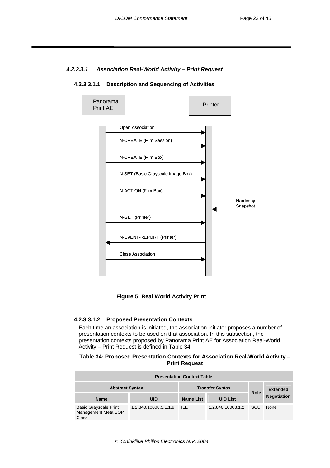#### <span id="page-23-0"></span>*4.2.3.3.1 Association Real-World Activity – Print Request*



#### **4.2.3.3.1.1 Description and Sequencing of Activities**



#### **4.2.3.3.1.2 Proposed Presentation Contexts**

Each time an association is initiated, the association initiator proposes a number of presentation contexts to be used on that association. In this subsection, the presentation contexts proposed by Panorama Print AE for Association Real-World Activity – Print Request is defined in [Table 34](#page-23-1) 

#### <span id="page-23-1"></span>**Table 34: Proposed Presentation Contexts for Association Real-World Activity – Print Request**

| <b>Presentation Context Table</b>                            |                        |                  |                   |                 |                    |
|--------------------------------------------------------------|------------------------|------------------|-------------------|-----------------|--------------------|
| <b>Abstract Syntax</b>                                       | <b>Transfer Syntax</b> |                  | Role              | <b>Extended</b> |                    |
| <b>Name</b>                                                  | UID                    | <b>Name List</b> | <b>UID List</b>   |                 | <b>Negotiation</b> |
| <b>Basic Grayscale Print</b><br>Management Meta SOP<br>Class | 1.2.840.10008.5.1.1.9  | ILE.             | 1.2.840.10008.1.2 | SCU             | None               |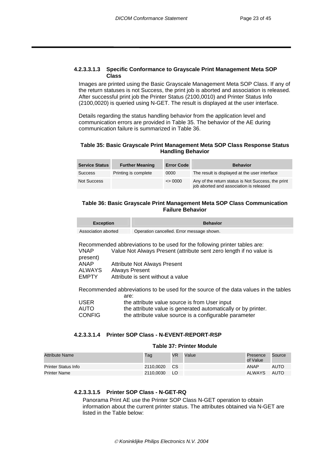#### <span id="page-24-0"></span>**4.2.3.3.1.3 Specific Conformance to Grayscale Print Management Meta SOP Class**

Images are printed using the Basic Grayscale Management Meta SOP Class. If any of the return statuses is not Success, the print job is aborted and association is released. After successful print job the Printer Status (2100,0010) and Printer Status Info (2100,0020) is queried using N-GET. The result is displayed at the user interface.

Details regarding the status handling behavior from the application level and communication errors are provided in [Table 35.](#page-24-1) The behavior of the AE during communication failure is summarized in [Table 36.](#page-24-2)

#### <span id="page-24-1"></span>**Table 35: Basic Grayscale Print Management Meta SOP Class Response Status Handling Behavior**

| <b>Service Status</b> | <b>Further Meaning</b> | <b>Error Code</b> | <b>Behavior</b>                                                                               |
|-----------------------|------------------------|-------------------|-----------------------------------------------------------------------------------------------|
| <b>Success</b>        | Printing is complete   | 0000              | The result is displayed at the user interface                                                 |
| <b>Not Success</b>    |                        | $\leq$ 0000       | Any of the return status is Not Success, the print<br>job aborted and association is released |

#### <span id="page-24-2"></span>**Table 36: Basic Grayscale Print Management Meta SOP Class Communication Failure Behavior**

| <b>Exception</b>    | <b>Behavior</b>                           |
|---------------------|-------------------------------------------|
| Association aborted | Operation cancelled. Error message shown. |

Recommended abbreviations to be used for the following printer tables are: VNAP Value Not Always Present (attribute sent zero length if no value is present) ANAP Attribute Not Always Present<br>ALWAYS Always Present **Always Present** EMPTY Attribute is sent without a value

Recommended abbreviations to be used for the source of the data values in the tables are:

| <b>USER</b>   | the attribute value source is from User input                 |
|---------------|---------------------------------------------------------------|
| AUTO          | the attribute value is generated automatically or by printer. |
| <b>CONFIG</b> | the attribute value source is a configurable parameter        |

#### **4.2.3.3.1.4 Printer SOP Class - N-EVENT-REPORT-RSP**

#### **Table 37: Printer Module**

| Attribute Name      | Tag       | <b>VR</b> | Value | Presence<br>of Value | Source |
|---------------------|-----------|-----------|-------|----------------------|--------|
| Printer Status Info | 2110.0020 | <b>CS</b> |       | ANAP                 | AUTO   |
| Printer Name        | 2110.0030 | <b>LO</b> |       | ALWAYS               | AUTO   |

#### **4.2.3.3.1.5 Printer SOP Class - N-GET-RQ**

Panorama Print AE use the Printer SOP Class N-GET operation to obtain information about the current printer status. The attributes obtained via N-GET are listed in the Table below: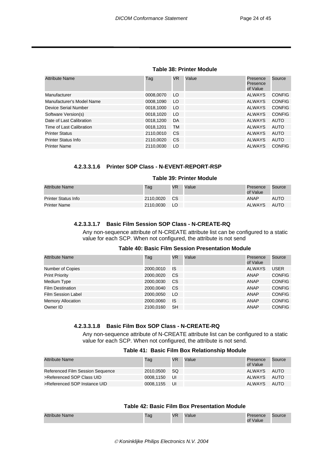#### **Table 38: Printer Module**

<span id="page-25-0"></span>

| <b>Attribute Name</b>      | Tag       | VR. | Value | Presence<br>Presence<br>of Value | Source        |
|----------------------------|-----------|-----|-------|----------------------------------|---------------|
| Manufacturer               | 0008,0070 | LO. |       | <b>ALWAYS</b>                    | <b>CONFIG</b> |
| Manufacturer's Model Name  | 0008,1090 | LO  |       | <b>ALWAYS</b>                    | <b>CONFIG</b> |
| Device Serial Number       | 0018,1000 | LO  |       | <b>ALWAYS</b>                    | <b>CONFIG</b> |
| Software Version(s)        | 0018,1020 | LO  |       | <b>ALWAYS</b>                    | <b>CONFIG</b> |
| Date of Last Calibration   | 0018.1200 | DA  |       | <b>ALWAYS</b>                    | AUTO          |
| Time of Last Calibration   | 0018,1201 | TM  |       | <b>ALWAYS</b>                    | <b>AUTO</b>   |
| <b>Printer Status</b>      | 2110,0010 | CS  |       | <b>ALWAYS</b>                    | AUTO          |
| <b>Printer Status Info</b> | 2110,0020 | CS  |       | <b>ALWAYS</b>                    | AUTO          |
| <b>Printer Name</b>        | 2110.0030 | LO  |       | <b>ALWAYS</b>                    | <b>CONFIG</b> |

#### **4.2.3.3.1.6 Printer SOP Class - N-EVENT-REPORT-RSP**

#### **Table 39: Printer Module**

| Attribute Name      | Tag       | <b>VR</b> | Value | Presence<br>of Value | Source      |
|---------------------|-----------|-----------|-------|----------------------|-------------|
| Printer Status Info | 2110.0020 | - CS      |       | ANAP                 | <b>AUTO</b> |
| Printer Name        | 2110.0030 | LO        |       | ALWAYS               | AUTO        |

#### **4.2.3.3.1.7 Basic Film Session SOP Class - N-CREATE-RQ**

Any non-sequence attribute of N-CREATE attribute list can be configured to a static value for each SCP. When not configured, the attribute is not send

#### **Table 40: Basic Film Session Presentation Module**  Attribute Name Tag VR Value Presence **Dresence** Source

| $\overline{ }$            | 10y       | <b>VIV</b> | <b>vuiuv</b> | 1 1 0 0 0 1 1 0 0<br>of Value | ovulvo        |
|---------------------------|-----------|------------|--------------|-------------------------------|---------------|
| Number of Copies          | 2000.0010 | IS         |              | <b>ALWAYS</b>                 | USER          |
| <b>Print Priority</b>     | 2000,0020 | CS.        |              | ANAP                          | <b>CONFIG</b> |
| Medium Type               | 2000,0030 | CS.        |              | ANAP                          | <b>CONFIG</b> |
| <b>Film Destination</b>   | 2000,0040 | CS.        |              | <b>ANAP</b>                   | <b>CONFIG</b> |
| <b>Film Session Label</b> | 2000.0050 | LO.        |              | <b>ANAP</b>                   | <b>CONFIG</b> |
| <b>Memory Allocation</b>  | 2000.0060 | IS         |              | ANAP                          | <b>CONFIG</b> |
| Owner ID                  | 2100.0160 | <b>SH</b>  |              | ANAP                          | <b>CONFIG</b> |
|                           |           |            |              |                               |               |

#### **4.2.3.3.1.8 Basic Film Box SOP Class - N-CREATE-RQ**

Any non-sequence attribute of N-CREATE attribute list can be configured to a static value for each SCP. When not configured, the attribute is not send.

#### **Table 41: Basic Film Box Relationship Module**

| Attribute Name                   | Tag          | VR | Value | Presence<br>of Value | Source      |
|----------------------------------|--------------|----|-------|----------------------|-------------|
| Referenced Film Session Sequence | 2010.0500 SQ |    |       | ALWAYS               | <b>AUTO</b> |
| >Referenced SOP Class UID        | 0008.1150 UI |    |       | ALWAYS               | AUTO        |
| >Referenced SOP Instance UID     | 0008.1155 UI |    |       | ALWAYS               | AUTO        |

#### **Table 42: Basic Film Box Presentation Module**

| Attribute<br>Name | $\sim$<br>i du | <b>VR</b> | /alue | esence<br>Value | Source |
|-------------------|----------------|-----------|-------|-----------------|--------|
|                   |                |           |       |                 |        |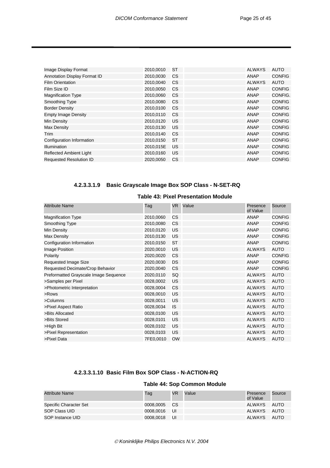<span id="page-26-0"></span>

| Image Display Format           | 2010,0010 | ST        | <b>ALWAYS</b> | <b>AUTO</b>   |
|--------------------------------|-----------|-----------|---------------|---------------|
| Annotation Display Format ID   | 2010,0030 | CS        | ANAP          | <b>CONFIG</b> |
| <b>Film Orientation</b>        | 2010,0040 | <b>CS</b> | <b>ALWAYS</b> | <b>AUTO</b>   |
| Film Size ID                   | 2010,0050 | CS        | <b>ANAP</b>   | <b>CONFIG</b> |
| <b>Magnification Type</b>      | 2010,0060 | <b>CS</b> | <b>ANAP</b>   | CONFIG.       |
| Smoothing Type                 | 2010,0080 | <b>CS</b> | <b>ANAP</b>   | <b>CONFIG</b> |
| <b>Border Density</b>          | 2010,0100 | <b>CS</b> | <b>ANAP</b>   | <b>CONFIG</b> |
| <b>Empty Image Density</b>     | 2010,0110 | <b>CS</b> | <b>ANAP</b>   | <b>CONFIG</b> |
| Min Density                    | 2010,0120 | US        | <b>ANAP</b>   | <b>CONFIG</b> |
| Max Density                    | 2010,0130 | US        | ANAP          | <b>CONFIG</b> |
| Trim                           | 2010,0140 | CS        | <b>ANAP</b>   | <b>CONFIG</b> |
| Configuration Information      | 2010.0150 | <b>ST</b> | <b>ANAP</b>   | <b>CONFIG</b> |
| <b>Illumination</b>            | 2010,015E | US        | ANAP          | <b>CONFIG</b> |
| <b>Reflected Ambient Light</b> | 2010,0160 | US        | ANAP          | <b>CONFIG</b> |
| <b>Requested Resolution ID</b> | 2020.0050 | CS        | ANAP          | <b>CONFIG</b> |

### **4.2.3.3.1.9 Basic Grayscale Image Box SOP Class - N-SET-RQ**

#### **Table 43: Pixel Presentation Module**

| <b>Attribute Name</b>                 | Tag       | VR.       | Value | Presence<br>of Value | Source        |
|---------------------------------------|-----------|-----------|-------|----------------------|---------------|
| <b>Magnification Type</b>             | 2010,0060 | CS.       |       | ANAP                 | <b>CONFIG</b> |
| Smoothing Type                        | 2010,0080 | <b>CS</b> |       | <b>ANAP</b>          | <b>CONFIG</b> |
| Min Density                           | 2010,0120 | US        |       | <b>ANAP</b>          | <b>CONFIG</b> |
| Max Density                           | 2010,0130 | <b>US</b> |       | <b>ANAP</b>          | <b>CONFIG</b> |
| Configuration Information             | 2010,0150 | <b>ST</b> |       | <b>ANAP</b>          | <b>CONFIG</b> |
| Image Position                        | 2020,0010 | US        |       | <b>ALWAYS</b>        | <b>AUTO</b>   |
| Polarity                              | 2020,0020 | <b>CS</b> |       | <b>ANAP</b>          | <b>CONFIG</b> |
| Requested Image Size                  | 2020,0030 | DS        |       | ANAP                 | <b>CONFIG</b> |
| Requested Decimate/Crop Behavior      | 2020,0040 | <b>CS</b> |       | <b>ANAP</b>          | <b>CONFIG</b> |
| Preformatted Grayscale Image Sequence | 2020,0110 | SQ        |       | ALWAYS               | <b>AUTO</b>   |
| >Samples per Pixel                    | 0028,0002 | <b>US</b> |       | <b>ALWAYS</b>        | <b>AUTO</b>   |
| >Photometric Interpretation           | 0028,0004 | CS        |       | ALWAYS               | <b>AUTO</b>   |
| >Rows                                 | 0028,0010 | US        |       | <b>ALWAYS</b>        | <b>AUTO</b>   |
| >Columns                              | 0028,0011 | US        |       | <b>ALWAYS</b>        | <b>AUTO</b>   |
| >Pixel Aspect Ratio                   | 0028,0034 | IS.       |       | <b>ALWAYS</b>        | <b>AUTO</b>   |
| >Bits Allocated                       | 0028,0100 | US        |       | ALWAYS               | <b>AUTO</b>   |
| >Bits Stored                          | 0028,0101 | US        |       | <b>ALWAYS</b>        | <b>AUTO</b>   |
| >High Bit                             | 0028,0102 | <b>US</b> |       | <b>ALWAYS</b>        | <b>AUTO</b>   |
| >Pixel Representation                 | 0028,0103 | US        |       | <b>ALWAYS</b>        | <b>AUTO</b>   |
| >Pixel Data                           | 7FE0,0010 | <b>OW</b> |       | <b>ALWAYS</b>        | <b>AUTO</b>   |

# **4.2.3.3.1.10 Basic Film Box SOP Class - N-ACTION-RQ**

#### **Table 44: Sop Common Module**

| <b>Attribute Name</b>  | Tag          | VR.  | Value | Presence<br>of Value | Source |
|------------------------|--------------|------|-------|----------------------|--------|
| Specific Character Set | 0008.0005 CS |      |       | ALWAYS               | AUTO   |
| SOP Class UID          | 0008.0016    | - UI |       | ALWAYS               | AUTO   |
| SOP Instance UID       | 0008.0018    | - UI |       | ALWAYS               | AUTO   |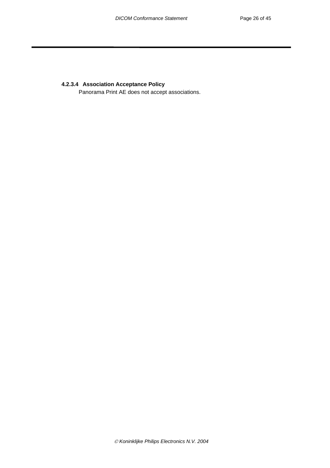#### <span id="page-27-0"></span>**4.2.3.4 Association Acceptance Policy**

Panorama Print AE does not accept associations.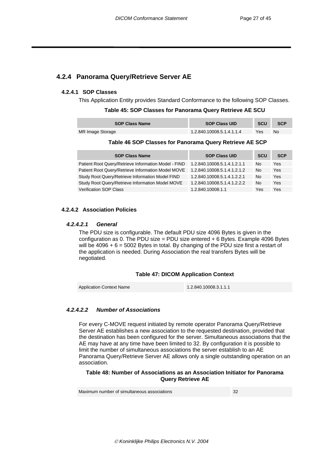### <span id="page-28-0"></span>**4.2.4 Panorama Query/Retrieve Server AE**

#### **4.2.4.1 SOP Classes**

This Application Entity provides Standard Conformance to the following SOP Classes.

#### **Table 45: SOP Classes for Panorama Query Retrieve AE SCU**

| <b>SOP Class Name</b> | <b>SOP Class UID</b>      | <b>SCU</b> | <b>SCP</b> |
|-----------------------|---------------------------|------------|------------|
| MR Image Storage      | 1.2.840.10008.5.1.4.1.1.4 | Yes        | No         |

#### **Table 46 SOP Classes for Panorama Query Retrieve AE SCP**

| <b>SOP Class Name</b>                                | <b>SOP Class UID</b>        | <b>SCU</b> | <b>SCP</b> |
|------------------------------------------------------|-----------------------------|------------|------------|
| Patient Root Query/Retrieve Information Model - FIND | 1.2.840.10008.5.1.4.1.2.1.1 | No         | Yes        |
| Patient Root Query/Retrieve Information Model MOVE   | 1.2.840.10008.5.1.4.1.2.1.2 | No         | Yes        |
| Study Root Query/Retrieve Information Model FIND     | 1.2.840.10008.5.1.4.1.2.2.1 | No         | Yes        |
| Study Root Query/Retrieve Information Model MOVE     | 1.2.840.10008.5.1.4.1.2.2.2 | No         | Yes        |
| <b>Verification SOP Class</b>                        | 1.2.840.10008.1.1           | Yes        | Yes        |

#### **4.2.4.2 Association Policies**

#### *4.2.4.2.1 General*

The PDU size is configurable. The default PDU size 4096 Bytes is given in the configuration as 0. The PDU size = PDU size entered  $+ 6$  Bytes. Example 4096 Bytes will be  $4096 + 6 = 5002$  Bytes in total. By changing of the PDU size first a restart of the application is needed. During Association the real transfers Bytes will be negotiated.

#### **Table 47: DICOM Application Context**

Application Context Name 1.2.840.10008.3.1.1.1

#### *4.2.4.2.2 Number of Associations*

For every C-MOVE request initiated by remote operator Panorama Query/Retrieve Server AE establishes a new association to the requested destination, provided that the destination has been configured for the server. Simultaneous associations that the AE may have at any time have been limited to 32. By configuration it is possible to limit the number of simultaneous associations the server establish to an AE Panorama Query/Retrieve Server AE allows only a single outstanding operation on an association.

#### **Table 48: Number of Associations as an Association Initiator for Panorama Query Retrieve AE**

Maximum number of simultaneous associations **32** 32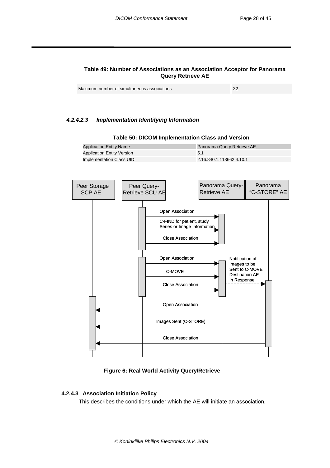#### <span id="page-29-0"></span>**Table 49: Number of Associations as an Association Acceptor for Panorama Query Retrieve AE**

| Maximum number of simultaneous associations |  |
|---------------------------------------------|--|
|---------------------------------------------|--|

#### *4.2.4.2.3 Implementation Identifying Information*

Application Entity Version 5.1



#### **Table 50: DICOM Implementation Class and Version**

Application Entity Name **Panorama Query Retrieve AE** 

 **Figure 6: Real World Activity Query/Retrieve** 

#### **4.2.4.3 Association Initiation Policy**

This describes the conditions under which the AE will initiate an association.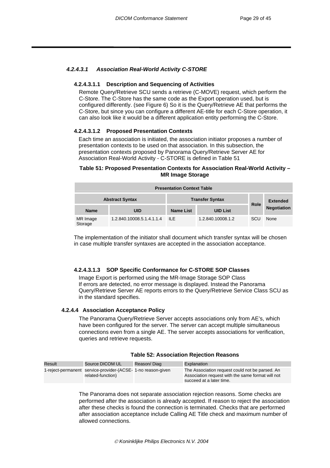#### <span id="page-30-0"></span>*4.2.4.3.1 Association Real-World Activity C-STORE*

#### **4.2.4.3.1.1 Description and Sequencing of Activities**

Remote Query/Retrieve SCU sends a retrieve (C-MOVE) request, which perform the C-Store. The C-Store has the same code as the Export operation used, but is configured differently. (see Figure 6) So it is the Query/Retrieve AE that performs the C-Store, but since you can configure a different AE-title for each C-Store operation, it can also look like it would be a different application entity performing the C-Store.

#### **4.2.4.3.1.2 Proposed Presentation Contexts**

Each time an association is initiated, the association initiator proposes a number of presentation contexts to be used on that association. In this subsection, the presentation contexts proposed by Panorama Query/Retrieve Server AE for Association Real-World Activity - C-STORE is defined in [Table 51](#page-30-1) 

#### <span id="page-30-1"></span>**Table 51: Proposed Presentation Contexts for Association Real-World Activity – MR Image Storage**

| <b>Presentation Context Table</b> |                           |                        |                   |             |                    |
|-----------------------------------|---------------------------|------------------------|-------------------|-------------|--------------------|
| <b>Abstract Syntax</b>            |                           | <b>Transfer Syntax</b> |                   | <b>Role</b> | <b>Extended</b>    |
| <b>Name</b>                       | UID                       | <b>Name List</b>       | <b>UID List</b>   |             | <b>Negotiation</b> |
| MR Image<br>Storage               | 1.2.840.10008.5.1.4.1.1.4 | <b>ILE</b>             | 1.2.840.10008.1.2 | SCU         | None               |

The implementation of the initiator shall document which transfer syntax will be chosen in case multiple transfer syntaxes are accepted in the association acceptance.

#### **4.2.4.3.1.3 SOP Specific Conformance for C-STORE SOP Classes**

Image Export is performed using the MR-Image Storage SOP Class If errors are detected, no error message is displayed. Instead the Panorama Query/Retrieve Server AE reports errors to the Query/Retrieve Service Class SCU as in the standard specifies.

#### **4.2.4.4 Association Acceptance Policy**

The Panorama Query/Retrieve Server accepts associations only from AE's, which have been configured for the server. The server can accept multiple simultaneous connections even from a single AE. The server accepts associations for verification, queries and retrieve requests.

| Result | Source DICOM UL                                                                  | Reason/Diag | Explanation                                                                                                                      |
|--------|----------------------------------------------------------------------------------|-------------|----------------------------------------------------------------------------------------------------------------------------------|
|        | 1-reject-permanent service-provider-(ACSE-1-no reason-given<br>related-function) |             | The Association request could not be parsed. An<br>Association request with the same format will not<br>succeed at a later time. |

#### **Table 52: Association Rejection Reasons**

The Panorama does not separate association rejection reasons. Some checks are performed after the association is already accepted. If reason to reject the association after these checks is found the connection is terminated. Checks that are performed after association acceptance include Calling AE Title check and maximum number of allowed connections.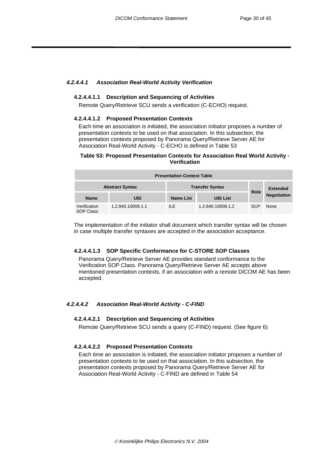#### <span id="page-31-0"></span>*4.2.4.4.1 Association Real-World Activity Verification*

#### **4.2.4.4.1.1 Description and Sequencing of Activities**

Remote Query/Retrieve SCU sends a verification (C-ECHO) request.

#### **4.2.4.4.1.2 Proposed Presentation Contexts**

Each time an association is initiated, the association initiator proposes a number of presentation contexts to be used on that association. In this subsection, the presentation contexts proposed by Panorama Query/Retrieve Server AE for Association Real-World Activity - C-ECHO is defined in [Table 53](#page-31-1) 

#### <span id="page-31-1"></span>**Table 53: Proposed Presentation Contexts for Association Real World Activity - Verification**

| <b>Presentation Context Table</b> |                   |                        |                   |             |                    |
|-----------------------------------|-------------------|------------------------|-------------------|-------------|--------------------|
| <b>Abstract Syntax</b>            |                   | <b>Transfer Syntax</b> |                   |             | <b>Extended</b>    |
| <b>Name</b>                       | <b>UID</b>        | <b>Name List</b>       | <b>UID List</b>   | <b>Role</b> | <b>Negotiation</b> |
| Verification<br><b>SOP Class</b>  | 1.2.840.10008.1.1 | ILE.                   | 1.2.840.10008.1.2 | <b>SCP</b>  | None               |

The implementation of the initiator shall document which transfer syntax will be chosen in case multiple transfer syntaxes are accepted in the association acceptance.

#### **4.2.4.4.1.3 SOP Specific Conformance for C-STORE SOP Classes**

Panorama Query/Retrieve Server AE provides standard conformance to the Verification SOP Class. Panorama Query/Retrieve Server AE accepts above mentioned presentation contexts, if an association with a remote DICOM AE has been accepted.

#### *4.2.4.4.2 Association Real-World Activity - C-FIND*

#### **4.2.4.4.2.1 Description and Sequencing of Activities**

Remote Query/Retrieve SCU sends a query (C-FIND) request. (See figure 6)

#### **4.2.4.4.2.2 Proposed Presentation Contexts**

Each time an association is initiated, the association initiator proposes a number of presentation contexts to be used on that association. In this subsection, the presentation contexts proposed by Panorama Query/Retrieve Server AE for Association Real-World Activity - C-FIND are defined in [Table 54](#page-32-1)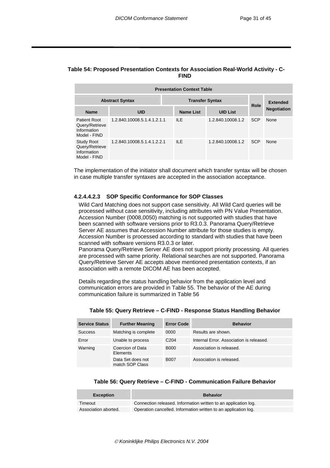#### <span id="page-32-1"></span><span id="page-32-0"></span>**Table 54: Proposed Presentation Contexts for Association Real-World Activity - C-FIND**

| <b>Presentation Context Table</b>                                    |                             |                  |                   |            |                    |  |
|----------------------------------------------------------------------|-----------------------------|------------------|-------------------|------------|--------------------|--|
| <b>Transfer Syntax</b><br><b>Abstract Syntax</b>                     |                             |                  |                   |            | <b>Extended</b>    |  |
| <b>Name</b>                                                          | <b>UID</b>                  | <b>Name List</b> | <b>UID List</b>   | Role       | <b>Negotiation</b> |  |
| <b>Patient Root</b><br>Query/Retrieve<br>Information<br>Model - FIND | 1.2.840.10008.5.1.4.1.2.1.1 | ILE.             | 1.2.840.10008.1.2 | <b>SCP</b> | None               |  |
| <b>Study Root</b><br>Query/Retrieve<br>Information<br>Model - FIND   | 1.2.840.10008.5.1.4.1.2.2.1 | ILE.             | 1.2.840.10008.1.2 | <b>SCP</b> | None               |  |

The implementation of the initiator shall document which transfer syntax will be chosen in case multiple transfer syntaxes are accepted in the association acceptance.

#### **4.2.4.4.2.3 SOP Specific Conformance for SOP Classes**

Wild Card Matching does not support case sensitivity. All Wild Card queries will be processed without case sensitivity, including attributes with PN Value Presentation. Accession Number (0008,0050) matching is not supported with studies that have been scanned with software versions prior to R3.0.3. Panorama Query/Retrieve Server AE assumes that Accession Number attribute for those studies is empty. Accession Number is processed according to standard with studies that have been scanned with software versions R3.0.3 or later.

Panorama Query/Retrieve Server AE does not support priority processing. All queries are processed with same priority. Relational searches are not supported. Panorama Query/Retrieve Server AE accepts above mentioned presentation contexts, if an association with a remote DICOM AE has been accepted.

Details regarding the status handling behavior from the application level and communication errors are provided in [Table 55.](#page-32-2) The behavior of the AE during communication failure is summarized in [Table 56](#page-32-3) 

| <b>Service Status</b> | <b>Further Meaning</b>               | <b>Error Code</b> | <b>Behavior</b>                          |
|-----------------------|--------------------------------------|-------------------|------------------------------------------|
| <b>Success</b>        | Matching is complete                 | 0000              | Results are shown.                       |
| Error                 | Unable to process                    | C <sub>204</sub>  | Internal Error. Association is released. |
| Warning               | Coercion of Data<br>Elements         | <b>B000</b>       | Association is released.                 |
|                       | Data Set does not<br>match SOP Class | <b>B007</b>       | Association is released.                 |

#### <span id="page-32-2"></span>**Table 55: Query Retrieve – C-FIND - Response Status Handling Behavior**

#### <span id="page-32-3"></span>**Table 56: Query Retrieve – C-FIND - Communication Failure Behavior**

| <b>Exception</b>     | <b>Behavior</b>                                                 |
|----------------------|-----------------------------------------------------------------|
| Timeout              | Connection released. Information written to an application log. |
| Association aborted. | Operation cancelled. Information written to an application log. |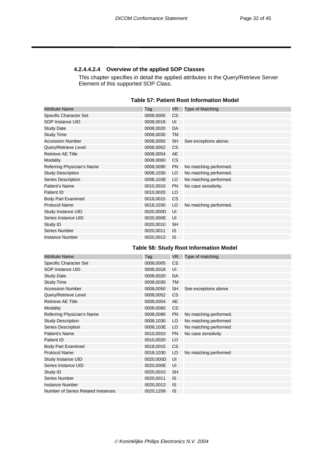#### <span id="page-33-0"></span>**4.2.4.4.2.4 Overview of the applied SOP Classes**

This chapter specifies in detail the applied attributes in the Query/Retrieve Server Element of this supported SOP Class.

| Table 57: Patient Root Information Model |  |
|------------------------------------------|--|
|------------------------------------------|--|

| Tag       | VR.       | <b>Type of Matching</b> |
|-----------|-----------|-------------------------|
| 0008,0005 | <b>CS</b> |                         |
| 0008,0018 | UI        |                         |
| 0008,0020 | DA        |                         |
| 0008,0030 | TM        |                         |
| 0008,0050 | <b>SH</b> | See exceptions above.   |
| 0008,0052 | <b>CS</b> |                         |
| 0008,0054 | AE        |                         |
| 0008,0060 | <b>CS</b> |                         |
| 0008,0090 | <b>PN</b> | No matching performed.  |
| 0008,1030 | LO        | No matching performed.  |
| 0008,103E | LO        | No matching performed.  |
| 0010,0010 | <b>PN</b> | No case sensitivity.    |
| 0010,0020 | LO        |                         |
| 0018,0015 | <b>CS</b> |                         |
| 0018,1030 | LO        | No matching performed.  |
| 0020,000D | UI        |                         |
| 0020,000E | UI        |                         |
| 0020,0010 | <b>SH</b> |                         |
| 0020,0011 | IS.       |                         |
| 0020,0013 | <b>IS</b> |                         |
|           |           |                         |

#### **Table 58: Study Root Information Model**

| <b>Attribute Name</b>              | Tag       | VR.       | Type of matching       |
|------------------------------------|-----------|-----------|------------------------|
| Specific Character Set             | 0008,0005 | <b>CS</b> |                        |
| SOP Instance UID                   | 0008,0018 | UI        |                        |
| <b>Study Date</b>                  | 0008,0020 | DA        |                        |
| <b>Study Time</b>                  | 0008,0030 | TM        |                        |
| <b>Accession Number</b>            | 0008,0050 | <b>SH</b> | See exceptions above   |
| Query/Retrieve Level               | 0008,0052 | <b>CS</b> |                        |
| <b>Retrieve AE Title</b>           | 0008,0054 | AE        |                        |
| Modality                           | 0008,0060 | CS        |                        |
| Referring Physician's Name         | 0008,0090 | <b>PN</b> | No matching performed. |
| <b>Study Description</b>           | 0008,1030 | LO        | No matching performed  |
| Series Description                 | 0008,103E | LO        | No matching performed  |
| Patient's Name                     | 0010,0010 | <b>PN</b> | No case sensitivity    |
| Patient ID                         | 0010,0020 | LO        |                        |
| <b>Body Part Examined</b>          | 0018,0015 | CS        |                        |
| <b>Protocol Name</b>               | 0018,1030 | LO        | No matching performed  |
| Study Instance UID                 | 0020,000D | UI        |                        |
| Series Instance UID                | 0020,000E | UI        |                        |
| Study ID                           | 0020,0010 | <b>SH</b> |                        |
| Series Number                      | 0020,0011 | IS        |                        |
| Instance Number                    | 0020,0013 | IS        |                        |
| Number of Series Related Instances | 0020,1209 | IS        |                        |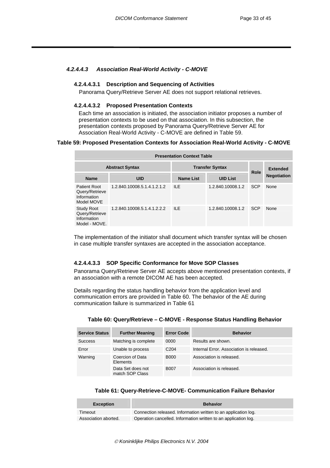#### <span id="page-34-0"></span>*4.2.4.4.3 Association Real-World Activity - C-MOVE*

#### **4.2.4.4.3.1 Description and Sequencing of Activities**

Panorama Query/Retrieve Server AE does not support relational retrieves.

#### **4.2.4.4.3.2 Proposed Presentation Contexts**

Each time an association is initiated, the association initiator proposes a number of presentation contexts to be used on that association. In this subsection, the presentation contexts proposed by Panorama Query/Retrieve Server AE for Association Real-World Activity - C-MOVE are defined in [Table 59.](#page-34-1)

#### <span id="page-34-1"></span>**Table 59: Proposed Presentation Contexts for Association Real-World Activity - C-MOVE**

| <b>Presentation Context Table</b>                                   |                             |                        |                   |                 |                    |  |
|---------------------------------------------------------------------|-----------------------------|------------------------|-------------------|-----------------|--------------------|--|
|                                                                     | <b>Abstract Syntax</b>      | <b>Transfer Syntax</b> | Role              | <b>Extended</b> |                    |  |
| <b>Name</b>                                                         | <b>UID</b>                  | <b>Name List</b>       | <b>UID List</b>   |                 | <b>Negotiation</b> |  |
| <b>Patient Root</b><br>Query/Retrieve<br>Information<br>Model MOVE  | 1.2.840.10008.5.1.4.1.2.1.2 | II F                   | 1.2.840.10008.1.2 | <b>SCP</b>      | None               |  |
| <b>Study Root</b><br>Query/Retrieve<br>Information<br>Model - MOVE. | 1.2.840.10008.5.1.4.1.2.2.2 | II F                   | 1.2.840.10008.1.2 | <b>SCP</b>      | None               |  |

The implementation of the initiator shall document which transfer syntax will be chosen in case multiple transfer syntaxes are accepted in the association acceptance.

#### **4.2.4.4.3.3 SOP Specific Conformance for Move SOP Classes**

Panorama Query/Retrieve Server AE accepts above mentioned presentation contexts, if an association with a remote DICOM AE has been accepted.

Details regarding the status handling behavior from the application level and communication errors are provided in [Table 60.](#page-34-2) The behavior of the AE during communication failure is summarized in [Table 61](#page-34-3) 

| <b>Service Status</b> | <b>Further Meaning</b>               | <b>Error Code</b> | <b>Behavior</b>                          |
|-----------------------|--------------------------------------|-------------------|------------------------------------------|
| <b>Success</b>        | Matching is complete                 | 0000              | Results are shown.                       |
| Error                 | Unable to process                    | C <sub>204</sub>  | Internal Error, Association is released. |
| Warning               | Coercion of Data<br>Elements         | <b>B000</b>       | Association is released.                 |
|                       | Data Set does not<br>match SOP Class | <b>B007</b>       | Association is released.                 |

#### <span id="page-34-2"></span>**Table 60: Query/Retrieve – C-MOVE - Response Status Handling Behavior**

#### <span id="page-34-3"></span>**Table 61: Query-Retrieve-C-MOVE- Communication Failure Behavior**

| <b>Exception</b>     | <b>Behavior</b>                                                 |
|----------------------|-----------------------------------------------------------------|
| Timeout              | Connection released. Information written to an application log. |
| Association aborted. | Operation cancelled. Information written to an application log. |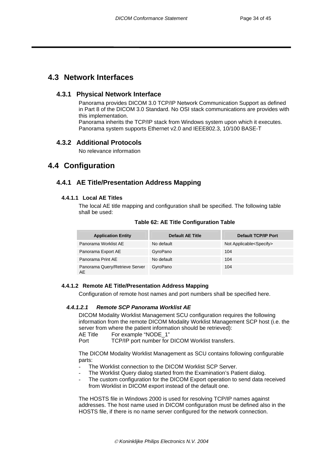# <span id="page-35-0"></span>**4.3 Network Interfaces**

#### **4.3.1 Physical Network Interface**

Panorama provides DICOM 3.0 TCP/IP Network Communication Support as defined in Part 8 of the DICOM 3.0 Standard. No OSI stack communications are provides with this implementation. Panorama inherits the TCP/IP stack from Windows system upon which it executes. Panorama system supports Ethernet v2.0 and IEEE802.3, 10/100 BASE-T

### **4.3.2 Additional Protocols**

No relevance information

# **4.4 Configuration**

### **4.4.1 AE Title/Presentation Address Mapping**

#### **4.4.1.1 Local AE Titles**

The local AE title mapping and configuration shall be specified. The following table shall be used:

| <b>Application Entity</b>            | <b>Default AE Title</b> | <b>Default TCP/IP Port</b>         |
|--------------------------------------|-------------------------|------------------------------------|
| Panorama Worklist AE                 | No default              | Not Applicable <specify></specify> |
| Panorama Export AE                   | GyroPano                | 104                                |
| Panorama Print AE                    | No default              | 104                                |
| Panorama Query/Retrieve Server<br>AE | GyroPano                | 104                                |

**Table 62: AE Title Configuration Table** 

#### **4.4.1.2 Remote AE Title/Presentation Address Mapping**

Configuration of remote host names and port numbers shall be specified here.

#### *4.4.1.2.1 Remote SCP Panorama Worklist AE*

DICOM Modality Worklist Management SCU configuration requires the following information from the remote DICOM Modality Worklist Management SCP host (i.e. the server from where the patient information should be retrieved):

AE Title For example "NODE\_1"

Port TCP/IP port number for DICOM Worklist transfers.

The DICOM Modality Worklist Management as SCU contains following configurable parts:

- The Worklist connection to the DICOM Worklist SCP Server.
- The Worklist Query dialog started from the Examination's Patient dialog.
- The custom configuration for the DICOM Export operation to send data received from Worklist in DICOM export instead of the default one.

The HOSTS file in Windows 2000 is used for resolving TCP/IP names against addresses. The host name used in DICOM configuration must be defined also in the HOSTS file, if there is no name server configured for the network connection.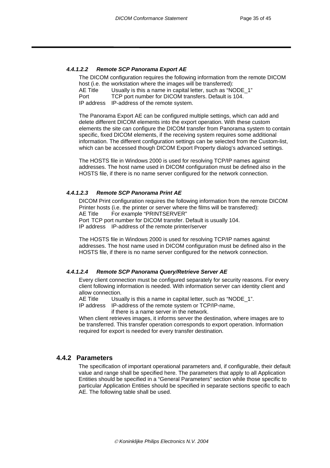#### <span id="page-36-0"></span>*4.4.1.2.2 Remote SCP Panorama Export AE*

The DICOM configuration requires the following information from the remote DICOM host (i.e. the workstation where the images will be transferred):

AE Title Usually is this a name in capital letter, such as "NODE 1"

Port TCP port number for DICOM transfers. Default is 104.

IP address IP-address of the remote system.

The Panorama Export AE can be configured multiple settings, which can add and delete different DICOM elements into the export operation. With these custom elements the site can configure the DICOM transfer from Panorama system to contain specific, fixed DICOM elements, if the receiving system requires some additional information. The different configuration settings can be selected from the Custom-list, which can be accessed though DICOM Export Property dialog's advanced settings.

The HOSTS file in Windows 2000 is used for resolving TCP/IP names against addresses. The host name used in DICOM configuration must be defined also in the HOSTS file, if there is no name server configured for the network connection.

#### *4.4.1.2.3 Remote SCP Panorama Print AE*

DICOM Print configuration requires the following information from the remote DICOM Printer hosts (i.e. the printer or server where the films will be transferred): AE Title For example "PRINTSERVER" Port TCP port number for DICOM transfer. Default is usually 104. IP address IP-address of the remote printer/server

The HOSTS file in Windows 2000 is used for resolving TCP/IP names against addresses. The host name used in DICOM configuration must be defined also in the HOSTS file, if there is no name server configured for the network connection.

#### *4.4.1.2.4 Remote SCP Panorama Query/Retrieve Server AE*

Every client connection must be configured separately for security reasons. For every client following information is needed. With information server can identity client and allow connection.

AE Title Usually is this a name in capital letter, such as "NODE 1".

IP address IP-address of the remote system or TCP/IP-name, if there is a name server in the network.

When client retrieves images, it informs server the destination, where images are to be transferred. This transfer operation corresponds to export operation. Information required for export is needed for every transfer destination.

#### **4.4.2 Parameters**

The specification of important operational parameters and, if configurable, their default value and range shall be specified here. The parameters that apply to all Application Entities should be specified in a "General Parameters" section while those specific to particular Application Entities should be specified in separate sections specific to each AE. The following table shall be used.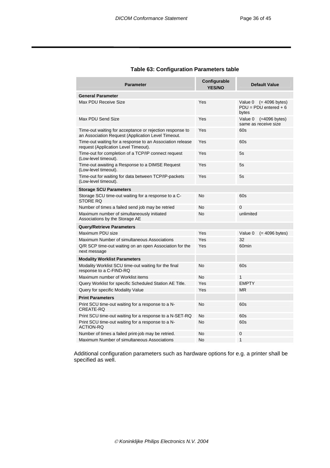| <b>Parameter</b>                                                                                               | Configurable<br><b>YES/NO</b> | <b>Default Value</b>                                            |
|----------------------------------------------------------------------------------------------------------------|-------------------------------|-----------------------------------------------------------------|
| <b>General Parameter</b>                                                                                       |                               |                                                                 |
| Max PDU Receive Size                                                                                           | Yes                           | Value 0<br>$(= 4096$ bytes)<br>$PDU = PDU$ entered + 6<br>bytes |
| Max PDU Send Size                                                                                              | Yes                           | Value 0<br>$(=4096$ bytes)<br>same as receive size              |
| Time-out waiting for acceptance or rejection response to<br>an Association Request (Application Level Timeout. | Yes                           | 60s                                                             |
| Time-out waiting for a response to an Association release<br>request (Application Level Timeout).              | Yes                           | 60s                                                             |
| Time-out for completion of a TCP/IP connect request<br>(Low-level timeout).                                    | Yes                           | 5s                                                              |
| Time-out awaiting a Response to a DIMSE Request<br>(Low-level timeout).                                        | Yes                           | 5s                                                              |
| Time-out for waiting for data between TCP/IP-packets<br>(Low-level timeout).                                   | Yes                           | 5s                                                              |
| <b>Storage SCU Parameters</b>                                                                                  |                               |                                                                 |
| Storage SCU time-out waiting for a response to a C-<br><b>STORE RO</b>                                         | <b>No</b>                     | 60s                                                             |
| Number of times a failed send job may be retried                                                               | <b>No</b>                     | $\Omega$                                                        |
| Maximum number of simultaneously initiated<br>Associations by the Storage AE                                   | No                            | unlimited                                                       |
| <b>Query/Retrieve Parameters</b>                                                                               |                               |                                                                 |
| Maximum PDU size                                                                                               | Yes                           | Value 0<br>$(= 4096$ bytes)                                     |
| Maximum Number of simultaneous Associations                                                                    | Yes                           | 32                                                              |
| Q/R SCP time-out waiting on an open Association for the<br>next message                                        | Yes                           | 60 <sub>min</sub>                                               |
| <b>Modality Worklist Parameters</b>                                                                            |                               |                                                                 |
| Modality Worklist SCU time-out waiting for the final<br>response to a C-FIND-RQ                                | <b>No</b>                     | 60s                                                             |
| Maximum number of Worklist items                                                                               | <b>No</b>                     | $\mathbf{1}$                                                    |
| Query Worklist for specific Scheduled Station AE Title.                                                        | Yes                           | <b>EMPTY</b>                                                    |
| Query for specific Modality Value                                                                              | Yes                           | <b>MR</b>                                                       |
| <b>Print Parameters</b>                                                                                        |                               |                                                                 |
| Print SCU time-out waiting for a response to a N-<br>CREATE-RO                                                 | No                            | 60s                                                             |
| Print SCU time-out waiting for a response to a N-SET-RQ                                                        | <b>No</b>                     | 60s                                                             |
| Print SCU time-out waiting for a response to a N-<br><b>ACTION-RO</b>                                          | No                            | 60s                                                             |
| Number of times a failed print-job may be retried.                                                             | No                            | 0                                                               |
| Maximum Number of simultaneous Associations                                                                    | <b>No</b>                     | 1                                                               |

#### **Table 63: Configuration Parameters table**

Additional configuration parameters such as hardware options for e.g. a printer shall be specified as well.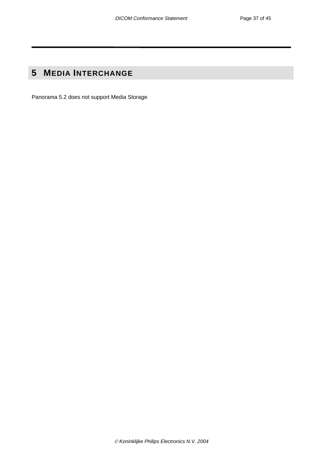# <span id="page-38-0"></span>**5 MEDIA INTERCHANGE**

Panorama 5.2 does not support Media Storage.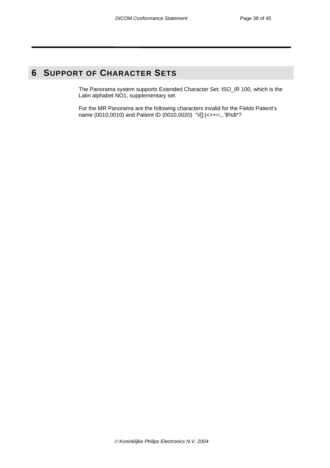# <span id="page-39-0"></span>**6 SUPPORT OF CHARACTER SETS**

The Panorama system supports Extended Character Set: ISO\_IR 100, which is the Latin alphabet NO1, supplementary set.

For the MR Panorama are the following characters invalid for the Fields Patient's name (0010,0010) and Patient ID (0010,0020) "V[]: $| \leq \rightarrow =$ ;,.'\$%\$\*?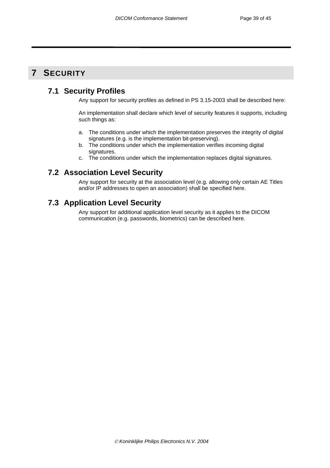# <span id="page-40-0"></span>**7 SECURITY**

# **7.1 Security Profiles**

Any support for security profiles as defined in PS 3.15-2003 shall be described here:

An implementation shall declare which level of security features it supports, including such things as:

- a. The conditions under which the implementation preserves the integrity of digital signatures (e.g. is the implementation bit-preserving).
- b. The conditions under which the implementation verifies incoming digital signatures.
- c. The conditions under which the implementation replaces digital signatures.

# **7.2 Association Level Security**

Any support for security at the association level (e.g. allowing only certain AE Titles and/or IP addresses to open an association) shall be specified here.

# **7.3 Application Level Security**

Any support for additional application level security as it applies to the DICOM communication (e.g. passwords, biometrics) can be described here.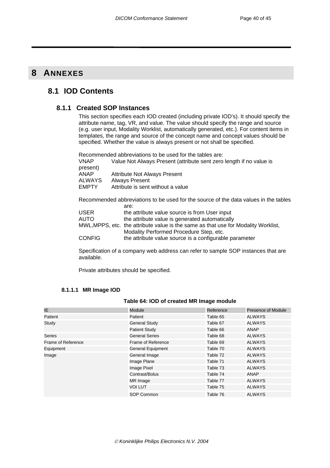# <span id="page-41-0"></span>**8 ANNEXES**

# **8.1 IOD Contents**

#### **8.1.1 Created SOP Instances**

This section specifies each IOD created (including private IOD's). It should specify the attribute name, tag, VR, and value. The value should specify the range and source (e.g. user input, Modality Worklist, automatically generated, etc.). For content items in templates, the range and source of the concept name and concept values should be specified. Whether the value is always present or not shall be specified.

Recommended abbreviations to be used for the tables are: VNAP Value Not Always Present (attribute sent zero length if no value is present) ANAP Attribute Not Always Present<br>ALWAYS Always Present ALWAYS Always Present<br>
EMPTY Attribute is sent Attribute is sent without a value

Recommended abbreviations to be used for the source of the data values in the tables are:

| USER          | the attribute value source is from User input                                      |
|---------------|------------------------------------------------------------------------------------|
| <b>AUTO</b>   | the attribute value is generated automatically                                     |
|               | MWL, MPPS, etc. the attribute value is the same as that use for Modality Worklist, |
|               | Modality Performed Procedure Step, etc.                                            |
| <b>CONFIG</b> | the attribute value source is a configurable parameter                             |

Specification of a company web address can refer to sample SOP instances that are available.

Private attributes should be specified.

#### **8.1.1.1 MR Image IOD**

#### **Table 64: IOD of created MR Image module**

| IE                          | <b>Module</b>            | Reference | <b>Presence of Module</b> |
|-----------------------------|--------------------------|-----------|---------------------------|
| Patient                     | Patient                  | Table 65  | <b>ALWAYS</b>             |
| Study                       | <b>General Study</b>     | Table 67  | <b>ALWAYS</b>             |
|                             | <b>Patient Study</b>     | Table 66  | ANAP                      |
| <b>Series</b>               | <b>General Series</b>    | Table 68  | <b>ALWAYS</b>             |
|                             | Frame of Reference       | Table 69  | ALWAYS                    |
| Equipment                   | <b>General Equipment</b> | Table 70  | <b>ALWAYS</b>             |
| Frame of Reference<br>Image | General Image            | Table 72  | <b>ALWAYS</b>             |
|                             | Image Plane              | Table 71  | <b>ALWAYS</b>             |
|                             | Image Pixel              | Table 73  | ALWAYS                    |
|                             | Contrast/Bolus           | Table 74  | ANAP                      |
|                             | MR Image                 | Table 77  | <b>ALWAYS</b>             |
|                             | VOI LUT                  | Table 75  | <b>ALWAYS</b>             |
|                             | SOP Common               | Table 76  | <b>ALWAYS</b>             |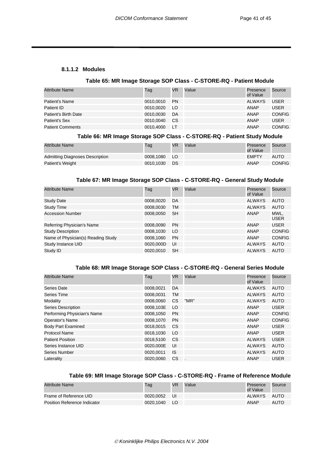#### <span id="page-42-0"></span>**8.1.1.2 Modules**

#### <span id="page-42-1"></span>**Table 65: MR Image Storage SOP Class - C-STORE-RQ - Patient Module**

| <b>Attribute Name</b>   | Tag       | <b>VR</b> | Value | Presence<br>of Value | Source        |
|-------------------------|-----------|-----------|-------|----------------------|---------------|
| Patient's Name          | 0010.0010 | <b>PN</b> |       | ALWAYS               | <b>USER</b>   |
| Patient ID              | 0010.0020 | LO.       |       | ANAP                 | USER          |
| Patient's Birth Date    | 0010.0030 | DA        |       | ANAP                 | <b>CONFIG</b> |
| Patient's Sex           | 0010.0040 | CS.       |       | ANAP                 | USER          |
| <b>Patient Comments</b> | 0010.4000 | LT        |       | <b>ANAP</b>          | <b>CONFIG</b> |

#### <span id="page-42-3"></span>**Table 66: MR Image Storage SOP Class - C-STORE-RQ - Patient Study Module**

| <b>Attribute Name</b>           | Tag       | VR   | Value | Presence<br>of Value | Source        |
|---------------------------------|-----------|------|-------|----------------------|---------------|
| Admitting Diagnoses Description | 0008.1080 | - LO |       | <b>EMPTY</b>         | <b>AUTO</b>   |
| Patient's Weight                | 0010.1030 | ⊟DS: |       | ANAP                 | <b>CONFIG</b> |

#### <span id="page-42-2"></span>**Table 67: MR Image Storage SOP Class - C-STORE-RQ - General Study Module**

| <b>Attribute Name</b>              | Tag       | <b>VR</b> | Value | Presence<br>of Value | Source              |
|------------------------------------|-----------|-----------|-------|----------------------|---------------------|
| <b>Study Date</b>                  | 0008,0020 | DA        |       | <b>ALWAYS</b>        | AUTO                |
| <b>Study Time</b>                  | 0008,0030 | TM        |       | <b>ALWAYS</b>        | AUTO                |
| <b>Accession Number</b>            | 0008.0050 | <b>SH</b> |       | ANAP                 | MWL.<br><b>USER</b> |
| Referring Physician's Name         | 0008,0090 | <b>PN</b> |       | <b>ANAP</b>          | <b>USER</b>         |
| <b>Study Description</b>           | 0008,1030 | LO        |       | <b>ANAP</b>          | <b>CONFIG</b>       |
| Name of Physician(s) Reading Study | 0008,1060 | <b>PN</b> |       | <b>ANAP</b>          | <b>CONFIG</b>       |
| Study Instance UID                 | 0020,000D | UI        |       | <b>ALWAYS</b>        | AUTO                |
| Study ID                           | 0020,0010 | <b>SH</b> |       | <b>ALWAYS</b>        | AUTO                |

#### <span id="page-42-4"></span>**Table 68: MR Image Storage SOP Class - C-STORE-RQ - General Series Module**

| <b>Attribute Name</b>       | Tag       | VR.       | Value | Presence<br>of Value | Source        |
|-----------------------------|-----------|-----------|-------|----------------------|---------------|
| Series Date                 | 0008,0021 | DA.       |       | <b>ALWAYS</b>        | AUTO          |
| Series Time                 | 0008,0031 | TM        |       | <b>ALWAYS</b>        | AUTO          |
| Modality                    | 0008,0060 | <b>CS</b> | "MR"  | <b>ALWAYS</b>        | AUTO          |
| <b>Series Description</b>   | 0008,103E | LO        |       | <b>ANAP</b>          | <b>USER</b>   |
| Performing Physician's Name | 0008,1050 | <b>PN</b> |       | <b>ANAP</b>          | <b>CONFIG</b> |
| Operator's Name             | 0008,1070 | <b>PN</b> |       | <b>ANAP</b>          | <b>CONFIG</b> |
| <b>Body Part Examined</b>   | 0018,0015 | CS.       |       | <b>ANAP</b>          | <b>USER</b>   |
| <b>Protocol Name</b>        | 0018,1030 | LO        |       | <b>ANAP</b>          | <b>USER</b>   |
| <b>Patient Position</b>     | 0018,5100 | <b>CS</b> |       | <b>ALWAYS</b>        | <b>USER</b>   |
| Series Instance UID         | 0020,000E | UI        |       | <b>ALWAYS</b>        | AUTO          |
| Series Number               | 0020,0011 | IS.       |       | <b>ALWAYS</b>        | AUTO          |
| Laterality                  | 0020.0060 | <b>CS</b> |       | <b>ANAP</b>          | <b>USER</b>   |

### <span id="page-42-5"></span>**Table 69: MR Image Storage SOP Class - C-STORE-RQ - Frame of Reference Module**

| <b>Attribute Name</b>        | Tag       | VR  | Value | Presence<br>of Value | Source |
|------------------------------|-----------|-----|-------|----------------------|--------|
| Frame of Reference UID       | 0020.0052 | -UI |       | ALWAYS               | AUTO   |
| Position Reference Indicator | 0020.1040 | LO. |       | ANAP                 | AUTO   |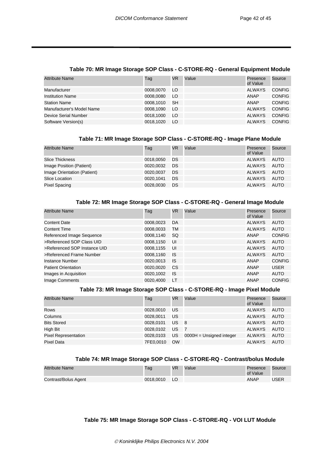| <b>Attribute Name</b>     | Tag       | VR        | Value | Presence<br>of Value | Source        |
|---------------------------|-----------|-----------|-------|----------------------|---------------|
| Manufacturer              | 0008,0070 | LO        |       | <b>ALWAYS</b>        | <b>CONFIG</b> |
| <b>Institution Name</b>   | 0008.0080 | LO        |       | <b>ANAP</b>          | <b>CONFIG</b> |
| <b>Station Name</b>       | 0008.1010 | <b>SH</b> |       | <b>ANAP</b>          | <b>CONFIG</b> |
| Manufacturer's Model Name | 0008.1090 | LO        |       | <b>ALWAYS</b>        | <b>CONFIG</b> |
| Device Serial Number      | 0018.1000 | LO        |       | <b>ALWAYS</b>        | <b>CONFIG</b> |
| Software Version(s)       | 0018.1020 | LO        |       | <b>ALWAYS</b>        | <b>CONFIG</b> |

#### <span id="page-43-0"></span>**Table 70: MR Image Storage SOP Class - C-STORE-RQ - General Equipment Module**

#### <span id="page-43-2"></span>**Table 71: MR Image Storage SOP Class - C-STORE-RQ - Image Plane Module**

| <b>Attribute Name</b>       | Tag       | <b>VR</b> | Value | Presence<br>of Value | Source |
|-----------------------------|-----------|-----------|-------|----------------------|--------|
| <b>Slice Thickness</b>      | 0018,0050 | DS        |       | ALWAYS               | AUTO   |
| Image Position (Patient)    | 0020,0032 | DS.       |       | ALWAYS               | AUTO   |
| Image Orientation (Patient) | 0020.0037 | <b>DS</b> |       | ALWAYS               | AUTO   |
| Slice Location              | 0020.1041 | <b>DS</b> |       | ALWAYS               | AUTO   |
| Pixel Spacing               | 0028,0030 | DS.       |       | ALWAYS               | AUTO   |

#### <span id="page-43-1"></span>**Table 72: MR Image Storage SOP Class - C-STORE-RQ - General Image Module**

| <b>Attribute Name</b>        | Tag       | <b>VR</b> | Value | Presence<br>of Value | Source        |
|------------------------------|-----------|-----------|-------|----------------------|---------------|
| <b>Content Date</b>          | 0008.0023 | DA        |       | <b>ALWAYS</b>        | AUTO          |
| <b>Content Time</b>          | 0008,0033 | TM        |       | <b>ALWAYS</b>        | <b>AUTO</b>   |
| Referenced Image Sequence    | 0008.1140 | SQ        |       | <b>ANAP</b>          | <b>CONFIG</b> |
| >Referenced SOP Class UID    | 0008.1150 | UI        |       | <b>ALWAYS</b>        | AUTO          |
| >Referenced SOP Instance UID | 0008.1155 | UI        |       | <b>ALWAYS</b>        | AUTO          |
| >Referenced Frame Number     | 0008.1160 | IS        |       | <b>ALWAYS</b>        | <b>AUTO</b>   |
| Instance Number              | 0020,0013 | IS        |       | <b>ANAP</b>          | <b>CONFIG</b> |
| <b>Patient Orientation</b>   | 0020,0020 | CS        |       | ANAP                 | <b>USER</b>   |
| Images in Acquisition        | 0020.1002 | IS        |       | <b>ANAP</b>          | AUTO          |
| <b>Image Comments</b>        | 0020.4000 | LT        |       | ANAP                 | <b>CONFIG</b> |

#### <span id="page-43-3"></span>**Table 73: MR Image Storage SOP Class - C-STORE-RQ - Image Pixel Module**

| <b>Attribute Name</b>       | Tag       | <b>VR</b> | Value                      | Presence<br>of Value | Source      |
|-----------------------------|-----------|-----------|----------------------------|----------------------|-------------|
| Rows                        | 0028,0010 | US        |                            | ALWAYS               | <b>AUTO</b> |
| Columns                     | 0028.0011 | US        |                            | <b>ALWAYS</b>        | <b>AUTO</b> |
| <b>Bits Stored</b>          | 0028.0101 | US.       | - 8                        | <b>ALWAYS</b>        | AUTO        |
| High Bit                    | 0028.0102 | US.       | $\overline{7}$             | <b>ALWAYS</b>        | AUTO        |
| <b>Pixel Representation</b> | 0028.0103 | US        | $0000H =$ Unsigned integer | <b>ALWAYS</b>        | AUTO        |
| Pixel Data                  | 7FE0.0010 | OW        |                            | ALWAYS               | AUTO        |

#### <span id="page-43-4"></span>**Table 74: MR Image Storage SOP Class - C-STORE-RQ - Contrast/bolus Module**

| <b>Attribute Name</b> | Tag       | <b>VR</b> | Value | Presence<br>of Value | Source      |
|-----------------------|-----------|-----------|-------|----------------------|-------------|
| Contrast/Bolus Agent  | 0018.0010 | - LO      |       | <b>ANAP</b>          | <b>JSER</b> |

#### <span id="page-43-5"></span>**Table 75: MR Image Storage SOP Class - C-STORE-RQ - VOI LUT Module**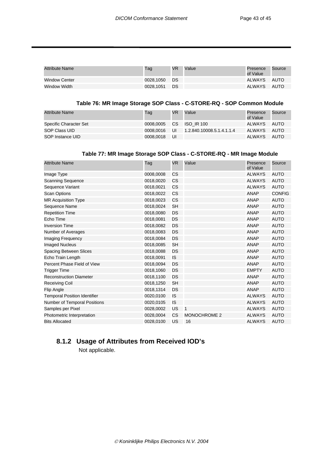<span id="page-44-0"></span>

| Attribute Name       | Tag       | <b>VR</b> | Value | Presence<br>of Value | Source |
|----------------------|-----------|-----------|-------|----------------------|--------|
| <b>Window Center</b> | 0028.1050 | - DS      |       | ALWAYS               | AUTO   |
| Window Width         | 0028.1051 | - DS      |       | ALWAYS               | AUTO   |

#### <span id="page-44-2"></span>**Table 76: MR Image Storage SOP Class - C-STORE-RQ - SOP Common Module**

| Attribute Name         | Tag       | VR        | Value                     | Presence<br>of Value | Source |
|------------------------|-----------|-----------|---------------------------|----------------------|--------|
| Specific Character Set | 0008.0005 | <b>CS</b> | <b>ISO IR 100</b>         | ALWAYS               | AUTO   |
| SOP Class UID          | 0008.0016 | UI        | 1.2.840.10008.5.1.4.1.1.4 | ALWAYS               | AUTO   |
| SOP Instance UID       | 0008.0018 | UI        |                           | ALWAYS               | AUTO   |

#### <span id="page-44-1"></span>**Table 77: MR Image Storage SOP Class - C-STORE-RQ - MR Image Module**

| <b>Attribute Name</b>               | Tag       | <b>VR</b> | Value               | Presence<br>of Value | Source        |
|-------------------------------------|-----------|-----------|---------------------|----------------------|---------------|
| Image Type                          | 0008,0008 | <b>CS</b> |                     | <b>ALWAYS</b>        | <b>AUTO</b>   |
| <b>Scanning Sequence</b>            | 0018,0020 | CS        |                     | <b>ALWAYS</b>        | <b>AUTO</b>   |
| Sequence Variant                    | 0018,0021 | <b>CS</b> |                     | <b>ALWAYS</b>        | <b>AUTO</b>   |
| <b>Scan Options</b>                 | 0018,0022 | <b>CS</b> |                     | <b>ANAP</b>          | <b>CONFIG</b> |
| <b>MR Acquisition Type</b>          | 0018,0023 | <b>CS</b> |                     | <b>ANAP</b>          | <b>AUTO</b>   |
| Sequence Name                       | 0018,0024 | <b>SH</b> |                     | <b>ANAP</b>          | <b>AUTO</b>   |
| <b>Repetition Time</b>              | 0018,0080 | DS        |                     | <b>ANAP</b>          | <b>AUTO</b>   |
| Echo Time                           | 0018,0081 | <b>DS</b> |                     | <b>ANAP</b>          | <b>AUTO</b>   |
| <b>Inversion Time</b>               | 0018,0082 | DS        |                     | <b>ANAP</b>          | <b>AUTO</b>   |
| Number of Averages                  | 0018,0083 | <b>DS</b> |                     | <b>ANAP</b>          | <b>AUTO</b>   |
| Imaging Frequency                   | 0018,0084 | DS        |                     | <b>ANAP</b>          | <b>AUTO</b>   |
| <b>Imaged Nucleus</b>               | 0018,0085 | <b>SH</b> |                     | <b>ANAP</b>          | <b>AUTO</b>   |
| <b>Spacing Between Slices</b>       | 0018,0088 | DS        |                     | <b>ANAP</b>          | <b>AUTO</b>   |
| Echo Train Length                   | 0018,0091 | <b>IS</b> |                     | <b>ANAP</b>          | <b>AUTO</b>   |
| Percent Phase Field of View         | 0018,0094 | DS        |                     | <b>ANAP</b>          | <b>AUTO</b>   |
| <b>Trigger Time</b>                 | 0018,1060 | <b>DS</b> |                     | <b>EMPTY</b>         | <b>AUTO</b>   |
| <b>Reconstruction Diameter</b>      | 0018,1100 | DS        |                     | <b>ANAP</b>          | <b>AUTO</b>   |
| <b>Receiving Coil</b>               | 0018,1250 | <b>SH</b> |                     | <b>ANAP</b>          | <b>AUTO</b>   |
| <b>Flip Angle</b>                   | 0018,1314 | DS        |                     | <b>ANAP</b>          | <b>AUTO</b>   |
| <b>Temporal Position Identifier</b> | 0020,0100 | IS        |                     | <b>ALWAYS</b>        | <b>AUTO</b>   |
| <b>Number of Temporal Positions</b> | 0020,0105 | IS        |                     | <b>ALWAYS</b>        | <b>AUTO</b>   |
| Samples per Pixel                   | 0028,0002 | US        | $\mathbf{1}$        | <b>ALWAYS</b>        | <b>AUTO</b>   |
| Photometric Interpretation          | 0028,0004 | CS        | <b>MONOCHROME 2</b> | <b>ALWAYS</b>        | <b>AUTO</b>   |
| <b>Bits Allocated</b>               | 0028,0100 | US        | 16                  | <b>ALWAYS</b>        | <b>AUTO</b>   |
|                                     |           |           |                     |                      |               |

# **8.1.2 Usage of Attributes from Received IOD's**

Not applicable.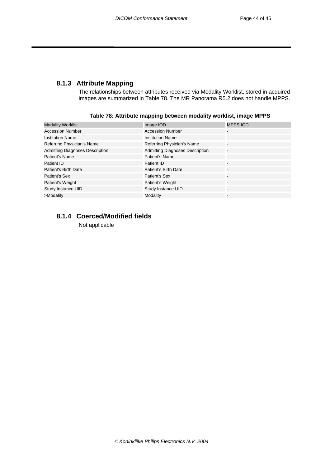### <span id="page-45-0"></span>**8.1.3 Attribute Mapping**

The relationships between attributes received via Modality Worklist, stored in acquired images are summarized in [Table 78.](#page-45-1) The MR Panorama R5.2 does not handle MPPS.

| <b>Modality Worklist</b>               | Image IOD                              | <b>MPPS IOD</b>          |
|----------------------------------------|----------------------------------------|--------------------------|
| <b>Accession Number</b>                | <b>Accession Number</b>                |                          |
| <b>Institution Name</b>                | <b>Institution Name</b>                | -                        |
| Referring Physician's Name             | Referring Physician's Name             | $\overline{\phantom{a}}$ |
| <b>Admitting Diagnoses Description</b> | <b>Admitting Diagnoses Description</b> | Ξ                        |
| Patient's Name                         | Patient's Name                         | -                        |
| Patient ID                             | Patient ID                             | -                        |
| Patient's Birth Date                   | <b>Patient's Birth Date</b>            | -                        |
| Patient's Sex                          | Patient's Sex                          |                          |
| Patient's Weight                       | Patient's Weight                       | -                        |
| Study Instance UID                     | Study Instance UID                     | $\overline{\phantom{a}}$ |
| >Modality                              | Modality                               | -                        |
|                                        |                                        |                          |

<span id="page-45-1"></span>**Table 78: Attribute mapping between modality worklist, image MPPS** 

# **8.1.4 Coerced/Modified fields**

Not applicable